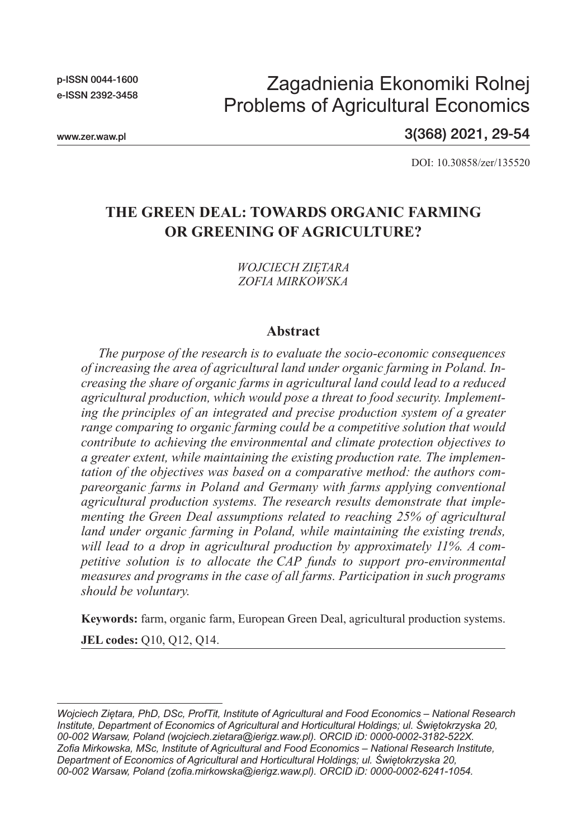p-ISSN 0044-1600 e-ISSN 2392-3458

# Zagadnienia Ekonomiki Rolnej Problems of Agricultural Economics

www.zer.waw.pl

3(368) 2021, 29-54

DOI: 10.30858/zer/135520

## **THE GREEN DEAL: TOWARDS ORGANIC FARMING OR GREENING OF AGRICULTURE?**

*WOJCIECH ZIĘTARA ZOFIA MIRKOWSKA*

#### **Abstract**

*The purpose of the research is to evaluate the socio-economic consequences of increasing the area of agricultural land under organic farming in Poland. Increasing the share of organic farms in agricultural land could lead to a reduced agricultural production, which would pose a threat to food security. Implementing the principles of an integrated and precise production system of a greater range comparing to organic farming could be a competitive solution that would contribute to achieving the environmental and climate protection objectives to a greater extent, while maintaining the existing production rate. The implementation of the objectives was based on a comparative method: the authors compareorganic farms in Poland and Germany with farms applying conventional agricultural production systems. The research results demonstrate that implementing the Green Deal assumptions related to reaching 25% of agricultural land under organic farming in Poland, while maintaining the existing trends, will lead to a drop in agricultural production by approximately 11%. A competitive solution is to allocate the CAP funds to support pro-environmental measures and programs in the case of all farms. Participation in such programs should be voluntary.*

**Keywords:** farm, organic farm, European Green Deal, agricultural production systems.

**JEL codes:** Q10, Q12, Q14.

*Wojciech Ziętara, PhD, DSc, ProfTit, Institute of Agricultural and Food Economics – National Research Institute, Department of Economics of Agricultural and Horticultural Holdings; ul. Świętokrzyska 20, 00-002 Warsaw, Poland (wojciech.zietara@ierigz.waw.pl). ORCID iD: 0000-0002-3182-522X. Zofia Mirkowska, MSc, Institute of Agricultural and Food Economics – National Research Institute, Department of Economics of Agricultural and Horticultural Holdings; ul. Świętokrzyska 20, 00-002 Warsaw, Poland (zofia.mirkowska@ierigz.waw.pl). ORCID iD: 0000-0002-6241-1054.*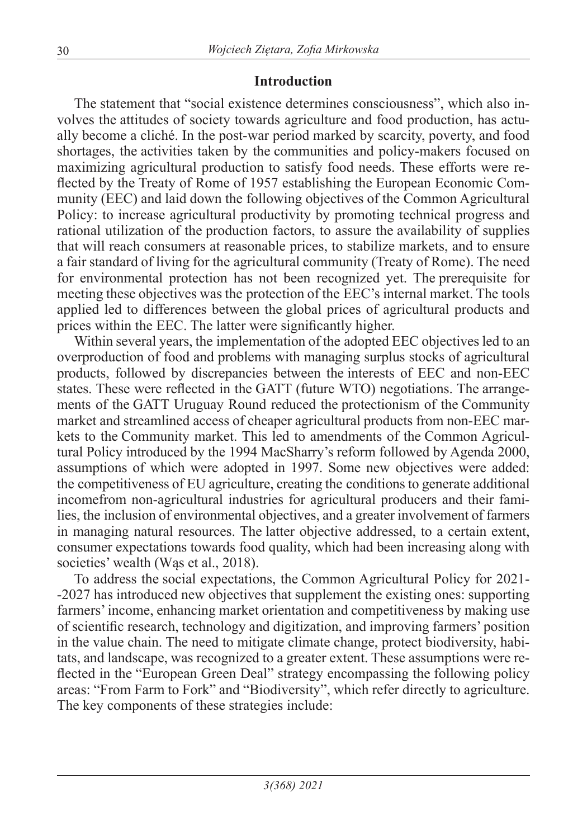#### **Introduction**

The statement that "social existence determines consciousness", which also involves the attitudes of society towards agriculture and food production, has actually become a cliché. In the post-war period marked by scarcity, poverty, and food shortages, the activities taken by the communities and policy-makers focused on maximizing agricultural production to satisfy food needs. These efforts were reflected by the Treaty of Rome of 1957 establishing the European Economic Community (EEC) and laid down the following objectives of the Common Agricultural Policy: to increase agricultural productivity by promoting technical progress and rational utilization of the production factors, to assure the availability of supplies that will reach consumers at reasonable prices, to stabilize markets, and to ensure a fair standard of living for the agricultural community (Treaty of Rome). The need for environmental protection has not been recognized yet. The prerequisite for meeting these objectives was the protection of the EEC's internal market. The tools applied led to differences between the global prices of agricultural products and prices within the EEC. The latter were significantly higher.

Within several years, the implementation of the adopted EEC objectives led to an overproduction of food and problems with managing surplus stocks of agricultural products, followed by discrepancies between the interests of EEC and non-EEC states. These were reflected in the GATT (future WTO) negotiations. The arrangements of the GATT Uruguay Round reduced the protectionism of the Community market and streamlined access of cheaper agricultural products from non-EEC markets to the Community market. This led to amendments of the Common Agricultural Policy introduced by the 1994 MacSharry's reform followed by Agenda 2000, assumptions of which were adopted in 1997. Some new objectives were added: the competitiveness of EU agriculture, creating the conditions to generate additional incomefrom non-agricultural industries for agricultural producers and their families, the inclusion of environmental objectives, and a greater involvement of farmers in managing natural resources. The latter objective addressed, to a certain extent, consumer expectations towards food quality, which had been increasing along with societies' wealth (Was et al., 2018).

To address the social expectations, the Common Agricultural Policy for 2021- -2027 has introduced new objectives that supplement the existing ones: supporting farmers' income, enhancing market orientation and competitiveness by making use of scientific research, technology and digitization, and improving farmers' position in the value chain. The need to mitigate climate change, protect biodiversity, habitats, and landscape, was recognized to a greater extent. These assumptions were reflected in the "European Green Deal" strategy encompassing the following policy areas: "From Farm to Fork" and "Biodiversity", which refer directly to agriculture. The key components of these strategies include: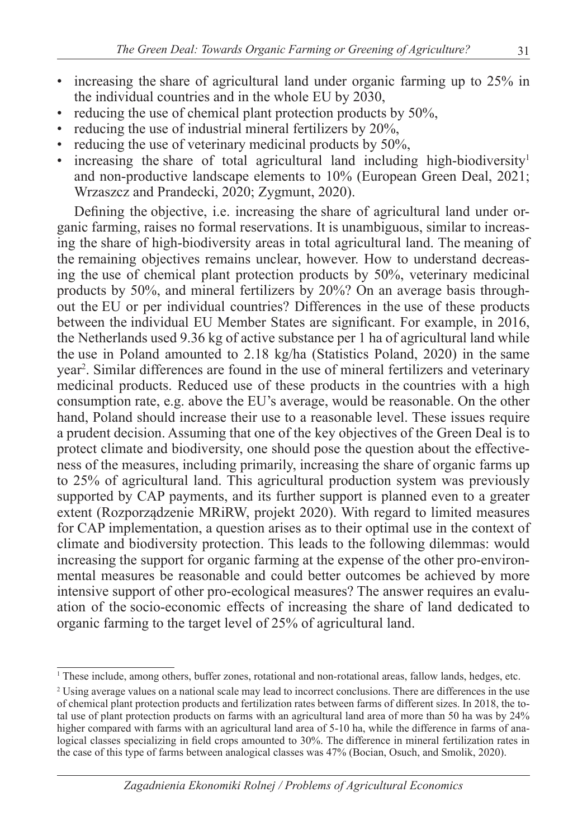- increasing the share of agricultural land under organic farming up to 25% in the individual countries and in the whole EU by 2030,
- reducing the use of chemical plant protection products by 50%,
- reducing the use of industrial mineral fertilizers by 20%,
- reducing the use of veterinary medicinal products by 50%,
- increasing the share of total agricultural land including high-biodiversity<sup>1</sup> and non-productive landscape elements to 10% (European Green Deal, 2021; Wrzaszcz and Prandecki, 2020; Zygmunt, 2020).

Defining the objective, i.e. increasing the share of agricultural land under organic farming, raises no formal reservations. It is unambiguous, similar to increasing the share of high-biodiversity areas in total agricultural land. The meaning of the remaining objectives remains unclear, however. How to understand decreasing the use of chemical plant protection products by 50%, veterinary medicinal products by 50%, and mineral fertilizers by 20%? On an average basis throughout the EU or per individual countries? Differences in the use of these products between the individual EU Member States are significant. For example, in 2016, the Netherlands used 9.36 kg of active substance per 1 ha of agricultural land while the use in Poland amounted to 2.18 kg/ha (Statistics Poland, 2020) in the same year2 . Similar differences are found in the use of mineral fertilizers and veterinary medicinal products. Reduced use of these products in the countries with a high consumption rate, e.g. above the EU's average, would be reasonable. On the other hand, Poland should increase their use to a reasonable level. These issues require a prudent decision. Assuming that one of the key objectives of the Green Deal is to protect climate and biodiversity, one should pose the question about the effectiveness of the measures, including primarily, increasing the share of organic farms up to 25% of agricultural land. This agricultural production system was previously supported by CAP payments, and its further support is planned even to a greater extent (Rozporządzenie MRiRW, projekt 2020). With regard to limited measures for CAP implementation, a question arises as to their optimal use in the context of climate and biodiversity protection. This leads to the following dilemmas: would increasing the support for organic farming at the expense of the other pro-environmental measures be reasonable and could better outcomes be achieved by more intensive support of other pro-ecological measures? The answer requires an evaluation of the socio-economic effects of increasing the share of land dedicated to organic farming to the target level of 25% of agricultural land.

<sup>1</sup> These include, among others, buffer zones, rotational and non-rotational areas, fallow lands, hedges, etc.

<sup>&</sup>lt;sup>2</sup> Using average values on a national scale may lead to incorrect conclusions. There are differences in the use of chemical plant protection products and fertilization rates between farms of different sizes. In 2018, the total use of plant protection products on farms with an agricultural land area of more than 50 ha was by 24% higher compared with farms with an agricultural land area of 5-10 ha, while the difference in farms of analogical classes specializing in field crops amounted to 30%. The difference in mineral fertilization rates in the case of this type of farms between analogical classes was 47% (Bocian, Osuch, and Smolik, 2020).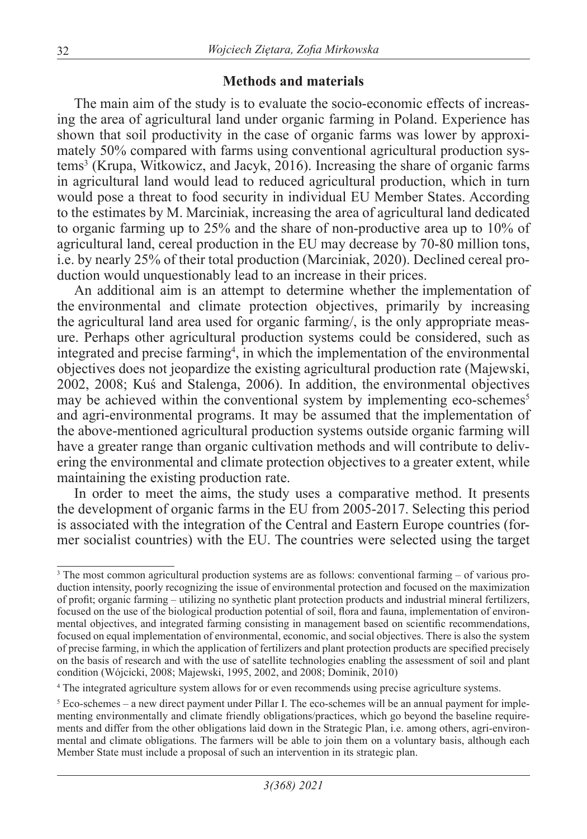#### **Methods and materials**

The main aim of the study is to evaluate the socio-economic effects of increasing the area of agricultural land under organic farming in Poland. Experience has shown that soil productivity in the case of organic farms was lower by approximately 50% compared with farms using conventional agricultural production systems3 (Krupa, Witkowicz, and Jacyk, 2016). Increasing the share of organic farms in agricultural land would lead to reduced agricultural production, which in turn would pose a threat to food security in individual EU Member States. According to the estimates by M. Marciniak, increasing the area of agricultural land dedicated to organic farming up to 25% and the share of non-productive area up to 10% of agricultural land, cereal production in the EU may decrease by 70-80 million tons, i.e. by nearly 25% of their total production (Marciniak, 2020). Declined cereal production would unquestionably lead to an increase in their prices.

An additional aim is an attempt to determine whether the implementation of the environmental and climate protection objectives, primarily by increasing the agricultural land area used for organic farming/, is the only appropriate measure. Perhaps other agricultural production systems could be considered, such as integrated and precise farming<sup>4</sup>, in which the implementation of the environmental objectives does not jeopardize the existing agricultural production rate (Majewski, 2002, 2008; Kuś and Stalenga, 2006). In addition, the environmental objectives may be achieved within the conventional system by implementing eco-schemes<sup>5</sup> and agri-environmental programs. It may be assumed that the implementation of the above-mentioned agricultural production systems outside organic farming will have a greater range than organic cultivation methods and will contribute to delivering the environmental and climate protection objectives to a greater extent, while maintaining the existing production rate.

In order to meet the aims, the study uses a comparative method. It presents the development of organic farms in the EU from 2005-2017. Selecting this period is associated with the integration of the Central and Eastern Europe countries (former socialist countries) with the EU. The countries were selected using the target

<sup>3</sup> The most common agricultural production systems are as follows: conventional farming – of various production intensity, poorly recognizing the issue of environmental protection and focused on the maximization of profit; organic farming – utilizing no synthetic plant protection products and industrial mineral fertilizers, focused on the use of the biological production potential of soil, flora and fauna, implementation of environmental objectives, and integrated farming consisting in management based on scientific recommendations, focused on equal implementation of environmental, economic, and social objectives. There is also the system of precise farming, in which the application of fertilizers and plant protection products are specified precisely on the basis of research and with the use of satellite technologies enabling the assessment of soil and plant condition (Wójcicki, 2008; Majewski, 1995, 2002, and 2008; Dominik, 2010)

<sup>4</sup> The integrated agriculture system allows for or even recommends using precise agriculture systems.

 $<sup>5</sup>$  Eco-schemes – a new direct payment under Pillar I. The eco-schemes will be an annual payment for imple-</sup> menting environmentally and climate friendly obligations/practices, which go beyond the baseline requirements and differ from the other obligations laid down in the Strategic Plan, i.e. among others, agri-environmental and climate obligations. The farmers will be able to join them on a voluntary basis, although each Member State must include a proposal of such an intervention in its strategic plan.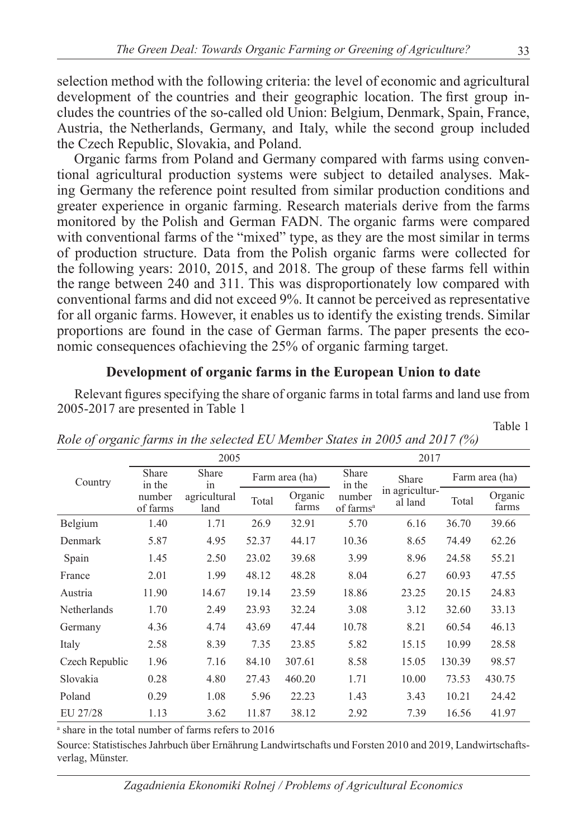selection method with the following criteria: the level of economic and agricultural development of the countries and their geographic location. The first group includes the countries of the so-called old Union: Belgium, Denmark, Spain, France, Austria, the Netherlands, Germany, and Italy, while the second group included the Czech Republic, Slovakia, and Poland.

Organic farms from Poland and Germany compared with farms using conventional agricultural production systems were subject to detailed analyses. Making Germany the reference point resulted from similar production conditions and greater experience in organic farming. Research materials derive from the farms monitored by the Polish and German FADN. The organic farms were compared with conventional farms of the "mixed" type, as they are the most similar in terms of production structure. Data from the Polish organic farms were collected for the following years: 2010, 2015, and 2018. The group of these farms fell within the range between 240 and 311. This was disproportionately low compared with conventional farms and did not exceed 9%. It cannot be perceived as representative for all organic farms. However, it enables us to identify the existing trends. Similar proportions are found in the case of German farms. The paper presents the economic consequences ofachieving the 25% of organic farming target.

#### **Development of organic farms in the European Union to date**

Relevant figures specifying the share of organic farms in total farms and land use from 2005-2017 are presented in Table 1

|                | 2005               |                      |       |                  | 2017                            |                           |        |                  |  |
|----------------|--------------------|----------------------|-------|------------------|---------------------------------|---------------------------|--------|------------------|--|
| Country        | Share<br>in the    | Share<br>1n          |       | Farm area (ha)   | Share<br>in the                 | Share                     |        | Farm area (ha)   |  |
|                | number<br>of farms | agricultural<br>land | Total | Organic<br>farms | number<br>of farms <sup>a</sup> | in agricultur-<br>al land | Total  | Organic<br>farms |  |
| Belgium        | 1.40               | 1.71                 | 26.9  | 32.91            | 5.70                            | 6.16                      | 36.70  | 39.66            |  |
| Denmark        | 5.87               | 4.95                 | 52.37 | 44.17            | 10.36                           | 8.65                      | 74.49  | 62.26            |  |
| Spain          | 1.45               | 2.50                 | 23.02 | 39.68            | 3.99                            | 8.96                      | 24.58  | 55.21            |  |
| France         | 2.01               | 1.99                 | 48.12 | 48.28            | 8.04                            | 6.27                      | 60.93  | 47.55            |  |
| Austria        | 11.90              | 14.67                | 19.14 | 23.59            | 18.86                           | 23.25                     | 20.15  | 24.83            |  |
| Netherlands    | 1.70               | 2.49                 | 23.93 | 32.24            | 3.08                            | 3.12                      | 32.60  | 33.13            |  |
| Germany        | 4.36               | 4.74                 | 43.69 | 47.44            | 10.78                           | 8.21                      | 60.54  | 46.13            |  |
| Italy          | 2.58               | 8.39                 | 7.35  | 23.85            | 5.82                            | 15.15                     | 10.99  | 28.58            |  |
| Czech Republic | 1.96               | 7.16                 | 84.10 | 307.61           | 8.58                            | 15.05                     | 130.39 | 98.57            |  |
| Slovakia       | 0.28               | 4.80                 | 27.43 | 460.20           | 1.71                            | 10.00                     | 73.53  | 430.75           |  |
| Poland         | 0.29               | 1.08                 | 5.96  | 22.23            | 1.43                            | 3.43                      | 10.21  | 24.42            |  |
| EU 27/28       | 1.13               | 3.62                 | 11.87 | 38.12            | 2.92                            | 7.39                      | 16.56  | 41.97            |  |

*Role of organic farms in the selected EU Member States in 2005 and 2017 (%)*

a share in the total number of farms refers to 2016

Source: Statistisches Jahrbuch über Ernährung Landwirtschafts und Forsten 2010 and 2019, Landwirtschaftsverlag, Münster.

Table 1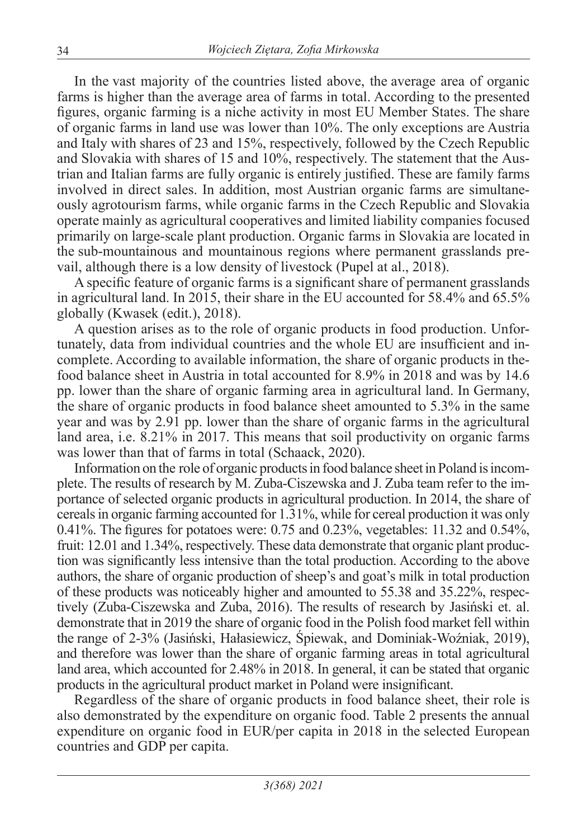In the vast majority of the countries listed above, the average area of organic farms is higher than the average area of farms in total. According to the presented figures, organic farming is a niche activity in most EU Member States. The share of organic farms in land use was lower than 10%. The only exceptions are Austria and Italy with shares of 23 and 15%, respectively, followed by the Czech Republic and Slovakia with shares of 15 and 10%, respectively. The statement that the Austrian and Italian farms are fully organic is entirely justified. These are family farms involved in direct sales. In addition, most Austrian organic farms are simultaneously agrotourism farms, while organic farms in the Czech Republic and Slovakia operate mainly as agricultural cooperatives and limited liability companies focused primarily on large-scale plant production. Organic farms in Slovakia are located in the sub-mountainous and mountainous regions where permanent grasslands prevail, although there is a low density of livestock (Pupel at al., 2018).

A specific feature of organic farms is a significant share of permanent grasslands in agricultural land. In 2015, their share in the EU accounted for 58.4% and 65.5% globally (Kwasek (edit.), 2018).

A question arises as to the role of organic products in food production. Unfortunately, data from individual countries and the whole EU are insufficient and incomplete. According to available information, the share of organic products in thefood balance sheet in Austria in total accounted for 8.9% in 2018 and was by 14.6 pp. lower than the share of organic farming area in agricultural land. In Germany, the share of organic products in food balance sheet amounted to 5.3% in the same year and was by 2.91 pp. lower than the share of organic farms in the agricultural land area, i.e. 8.21% in 2017. This means that soil productivity on organic farms was lower than that of farms in total (Schaack, 2020).

Information on the role of organic products in food balance sheet in Poland is incomplete. The results of research by M. Zuba-Ciszewska and J. Zuba team refer to the importance of selected organic products in agricultural production. In 2014, the share of cereals in organic farming accounted for 1.31%, while for cereal production it was only 0.41%. The figures for potatoes were: 0.75 and 0.23%, vegetables: 11.32 and 0.54%, fruit: 12.01 and 1.34%, respectively. These data demonstrate that organic plant production was significantly less intensive than the total production. According to the above authors, the share of organic production of sheep's and goat's milk in total production of these products was noticeably higher and amounted to 55.38 and 35.22%, respectively (Zuba-Ciszewska and Zuba, 2016). The results of research by Jasiński et. al. demonstrate that in 2019 the share of organic food in the Polish food market fell within the range of 2-3% (Jasiński, Hałasiewicz, Śpiewak, and Dominiak-Woźniak, 2019), and therefore was lower than the share of organic farming areas in total agricultural land area, which accounted for 2.48% in 2018. In general, it can be stated that organic products in the agricultural product market in Poland were insignificant.

Regardless of the share of organic products in food balance sheet, their role is also demonstrated by the expenditure on organic food. Table 2 presents the annual expenditure on organic food in EUR/per capita in 2018 in the selected European countries and GDP per capita.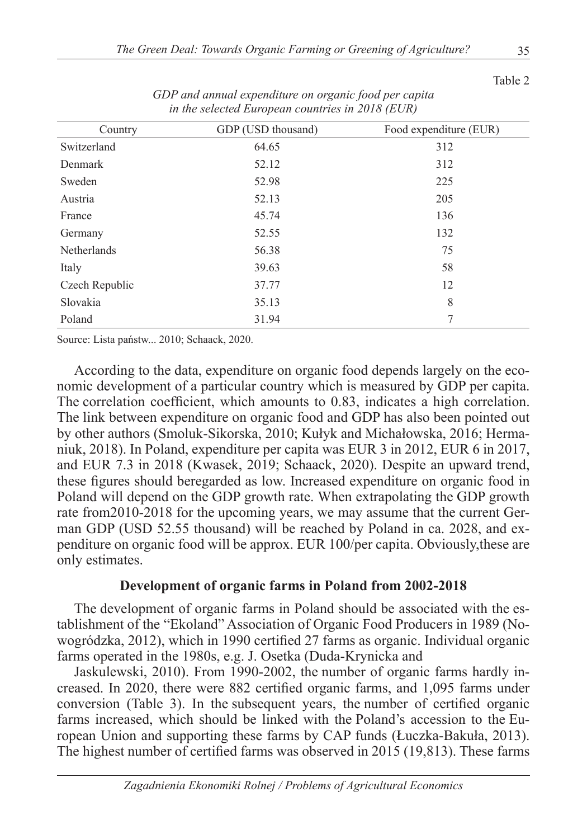| Country        | GDP (USD thousand) | Food expenditure (EUR) |
|----------------|--------------------|------------------------|
| Switzerland    | 64.65              | 312                    |
| Denmark        | 52.12              | 312                    |
| Sweden         | 52.98              | 225                    |
| Austria        | 52.13              | 205                    |
| France         | 45.74              | 136                    |
| Germany        | 52.55              | 132                    |
| Netherlands    | 56.38              | 75                     |
| Italy          | 39.63              | 58                     |
| Czech Republic | 37.77              | 12                     |
| Slovakia       | 35.13              | 8                      |
| Poland         | 31.94              | 7                      |

*GDP and annual expenditure on organic food per capita in the selected European countries in 2018 (EUR)*

Source: Lista państw... 2010; Schaack, 2020.

According to the data, expenditure on organic food depends largely on the economic development of a particular country which is measured by GDP per capita. The correlation coefficient, which amounts to 0.83, indicates a high correlation. The link between expenditure on organic food and GDP has also been pointed out by other authors (Smoluk-Sikorska, 2010; Kułyk and Michałowska, 2016; Hermaniuk, 2018). In Poland, expenditure per capita was EUR 3 in 2012, EUR 6 in 2017, and EUR 7.3 in 2018 (Kwasek, 2019; Schaack, 2020). Despite an upward trend, these figures should beregarded as low. Increased expenditure on organic food in Poland will depend on the GDP growth rate. When extrapolating the GDP growth rate from2010-2018 for the upcoming years, we may assume that the current German GDP (USD 52.55 thousand) will be reached by Poland in ca. 2028, and expenditure on organic food will be approx. EUR 100/per capita. Obviously,these are only estimates.

#### **Development of organic farms in Poland from 2002-2018**

The development of organic farms in Poland should be associated with the establishment of the "Ekoland" Association of Organic Food Producers in 1989 (Nowogródzka, 2012), which in 1990 certified 27 farms as organic. Individual organic farms operated in the 1980s, e.g. J. Osetka (Duda-Krynicka and

Jaskulewski, 2010). From 1990-2002, the number of organic farms hardly increased. In 2020, there were 882 certified organic farms, and 1,095 farms under conversion (Table 3). In the subsequent years, the number of certified organic farms increased, which should be linked with the Poland's accession to the European Union and supporting these farms by CAP funds (Łuczka-Bakuła, 2013). The highest number of certified farms was observed in 2015 (19,813). These farms

Table 2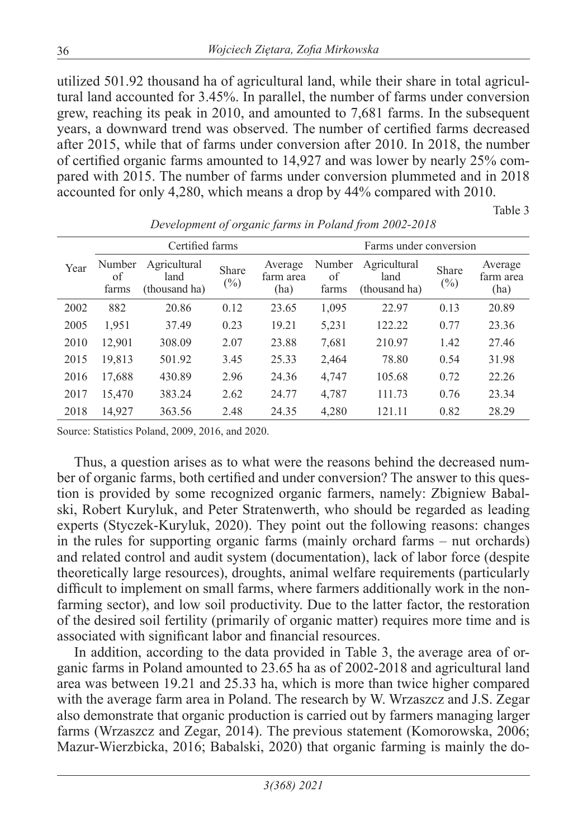utilized 501.92 thousand ha of agricultural land, while their share in total agricultural land accounted for 3.45%. In parallel, the number of farms under conversion grew, reaching its peak in 2010, and amounted to 7,681 farms. In the subsequent years, a downward trend was observed. The number of certified farms decreased after 2015, while that of farms under conversion after 2010. In 2018, the number of certified organic farms amounted to 14,927 and was lower by nearly 25% compared with 2015. The number of farms under conversion plummeted and in 2018 accounted for only 4,280, which means a drop by 44% compared with 2010.

*Development of organic farms in Poland from 2002-2018*

Table 3

|      | Certified farms       |                                       |                 |                              | Farms under conversion |                                       |                        |                              |
|------|-----------------------|---------------------------------------|-----------------|------------------------------|------------------------|---------------------------------------|------------------------|------------------------------|
| Year | Number<br>οf<br>farms | Agricultural<br>land<br>(thousand ha) | Share<br>$(\%)$ | Average<br>farm area<br>(ha) | Number<br>of<br>farms  | Agricultural<br>land<br>(thousand ha) | <b>Share</b><br>$(\%)$ | Average<br>farm area<br>(ha) |
| 2002 | 882                   | 20.86                                 | 0.12            | 23.65                        | 1,095                  | 22.97                                 | 0.13                   | 20.89                        |
| 2005 | 1,951                 | 37.49                                 | 0.23            | 19.21                        | 5,231                  | 122.22                                | 0.77                   | 23.36                        |
| 2010 | 12,901                | 308.09                                | 2.07            | 23.88                        | 7,681                  | 210.97                                | 1.42                   | 27.46                        |
| 2015 | 19,813                | 501.92                                | 3.45            | 25.33                        | 2,464                  | 78.80                                 | 0.54                   | 31.98                        |
| 2016 | 17,688                | 430.89                                | 2.96            | 24.36                        | 4,747                  | 105.68                                | 0.72                   | 22.26                        |
| 2017 | 15,470                | 383.24                                | 2.62            | 24.77                        | 4,787                  | 111.73                                | 0.76                   | 23.34                        |
| 2018 | 14,927                | 363.56                                | 2.48            | 24.35                        | 4,280                  | 121.11                                | 0.82                   | 28.29                        |

Source: Statistics Poland, 2009, 2016, and 2020.

Thus, a question arises as to what were the reasons behind the decreased number of organic farms, both certified and under conversion? The answer to this question is provided by some recognized organic farmers, namely: Zbigniew Babalski, Robert Kuryluk, and Peter Stratenwerth, who should be regarded as leading experts (Styczek-Kuryluk, 2020). They point out the following reasons: changes in the rules for supporting organic farms (mainly orchard farms – nut orchards) and related control and audit system (documentation), lack of labor force (despite theoretically large resources), droughts, animal welfare requirements (particularly difficult to implement on small farms, where farmers additionally work in the nonfarming sector), and low soil productivity. Due to the latter factor, the restoration of the desired soil fertility (primarily of organic matter) requires more time and is associated with significant labor and financial resources.

In addition, according to the data provided in Table 3, the average area of organic farms in Poland amounted to 23.65 ha as of 2002-2018 and agricultural land area was between 19.21 and 25.33 ha, which is more than twice higher compared with the average farm area in Poland. The research by W. Wrzaszcz and J.S. Zegar also demonstrate that organic production is carried out by farmers managing larger farms (Wrzaszcz and Zegar, 2014). The previous statement (Komorowska, 2006; Mazur-Wierzbicka, 2016; Babalski, 2020) that organic farming is mainly the do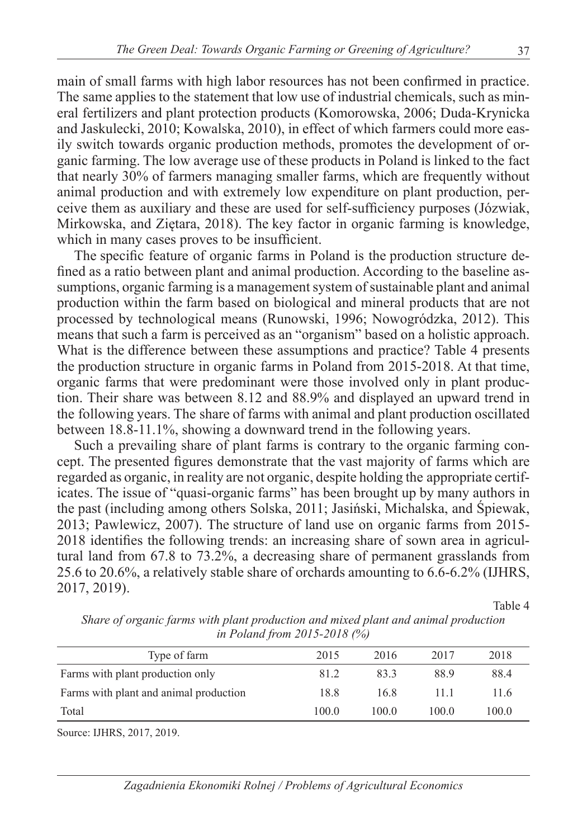main of small farms with high labor resources has not been confirmed in practice. The same applies to the statement that low use of industrial chemicals, such as mineral fertilizers and plant protection products (Komorowska, 2006; Duda-Krynicka and Jaskulecki, 2010; Kowalska, 2010), in effect of which farmers could more easily switch towards organic production methods, promotes the development of organic farming. The low average use of these products in Poland is linked to the fact that nearly 30% of farmers managing smaller farms, which are frequently without animal production and with extremely low expenditure on plant production, perceive them as auxiliary and these are used for self-sufficiency purposes (Józwiak, Mirkowska, and Ziętara, 2018). The key factor in organic farming is knowledge, which in many cases proves to be insufficient.

The specific feature of organic farms in Poland is the production structure defined as a ratio between plant and animal production. According to the baseline assumptions, organic farming is a management system of sustainable plant and animal production within the farm based on biological and mineral products that are not processed by technological means (Runowski, 1996; Nowogródzka, 2012). This means that such a farm is perceived as an "organism" based on a holistic approach. What is the difference between these assumptions and practice? Table 4 presents the production structure in organic farms in Poland from 2015-2018. At that time, organic farms that were predominant were those involved only in plant production. Their share was between 8.12 and 88.9% and displayed an upward trend in the following years. The share of farms with animal and plant production oscillated between 18.8-11.1%, showing a downward trend in the following years.

Such a prevailing share of plant farms is contrary to the organic farming concept. The presented figures demonstrate that the vast majority of farms which are regarded as organic, in reality are not organic, despite holding the appropriate certificates. The issue of "quasi-organic farms" has been brought up by many authors in the past (including among others Solska, 2011; Jasiński, Michalska, and Śpiewak, 2013; Pawlewicz, 2007). The structure of land use on organic farms from 2015- 2018 identifies the following trends: an increasing share of sown area in agricultural land from 67.8 to 73.2%, a decreasing share of permanent grasslands from 25.6 to 20.6%, a relatively stable share of orchards amounting to 6.6-6.2% (IJHRS, 2017, 2019).

Table 4

| $\mu$ 1 ordina from 2015-2010 (70) |       |      |       |  |  |  |  |  |
|------------------------------------|-------|------|-------|--|--|--|--|--|
| 2015                               | 2016  | 2017 | 2018  |  |  |  |  |  |
| 81.2                               | 833   | 88.9 | 88.4  |  |  |  |  |  |
| 18.8                               | 16.8  | 11 1 | 11.6  |  |  |  |  |  |
| 100.0                              | 100 0 | 1000 | 100.0 |  |  |  |  |  |
|                                    |       |      |       |  |  |  |  |  |

*Share of organic farms with plant production and mixed plant and animal production in Poland from 2015-2018 (%)*

Source: IJHRS, 2017, 2019.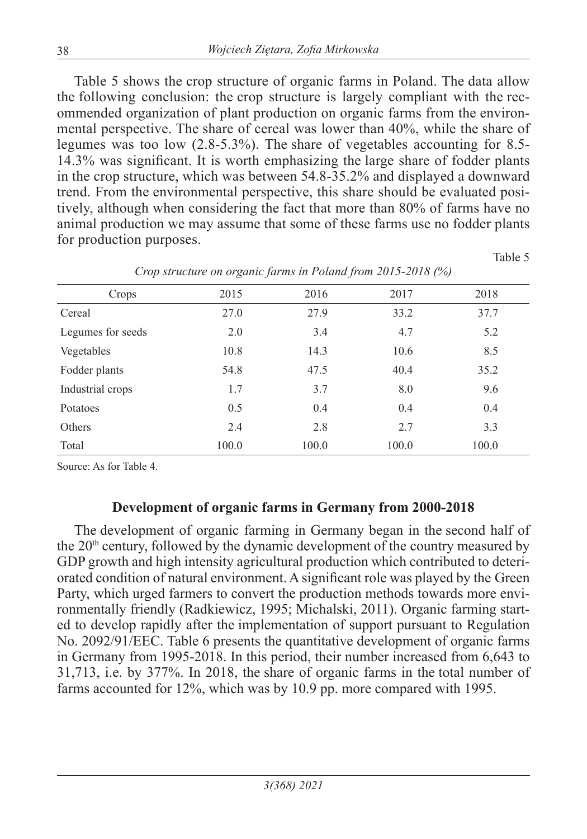Table 5 shows the crop structure of organic farms in Poland. The data allow the following conclusion: the crop structure is largely compliant with the recommended organization of plant production on organic farms from the environmental perspective. The share of cereal was lower than 40%, while the share of legumes was too low (2.8-5.3%). The share of vegetables accounting for 8.5- 14.3% was significant. It is worth emphasizing the large share of fodder plants in the crop structure, which was between 54.8-35.2% and displayed a downward trend. From the environmental perspective, this share should be evaluated positively, although when considering the fact that more than 80% of farms have no animal production we may assume that some of these farms use no fodder plants for production purposes.

| x.                | $\tilde{}$ | $\epsilon$ |       |       |
|-------------------|------------|------------|-------|-------|
| Crops             | 2015       | 2016       | 2017  | 2018  |
| Cereal            | 27.0       | 27.9       | 33.2  | 37.7  |
| Legumes for seeds | 2.0        | 3.4        | 4.7   | 5.2   |
| Vegetables        | 10.8       | 14.3       | 10.6  | 8.5   |
| Fodder plants     | 54.8       | 47.5       | 40.4  | 35.2  |
| Industrial crops  | 1.7        | 3.7        | 8.0   | 9.6   |
| Potatoes          | 0.5        | 0.4        | 0.4   | 0.4   |
| Others            | 2.4        | 2.8        | 2.7   | 3.3   |
| Total             | 100.0      | 100.0      | 100.0 | 100.0 |

*Crop structure on organic farms in Poland from 2015-2018 (%)*

Table 5

Source: As for Table 4.

## **Development of organic farms in Germany from 2000-2018**

The development of organic farming in Germany began in the second half of the 20<sup>th</sup> century, followed by the dynamic development of the country measured by GDP growth and high intensity agricultural production which contributed to deteriorated condition of natural environment. A significant role was played by the Green Party, which urged farmers to convert the production methods towards more environmentally friendly (Radkiewicz, 1995; Michalski, 2011). Organic farming started to develop rapidly after the implementation of support pursuant to Regulation No. 2092/91/EEC. Table 6 presents the quantitative development of organic farms in Germany from 1995-2018. In this period, their number increased from 6,643 to 31,713, i.e. by 377%. In 2018, the share of organic farms in the total number of farms accounted for 12%, which was by 10.9 pp. more compared with 1995.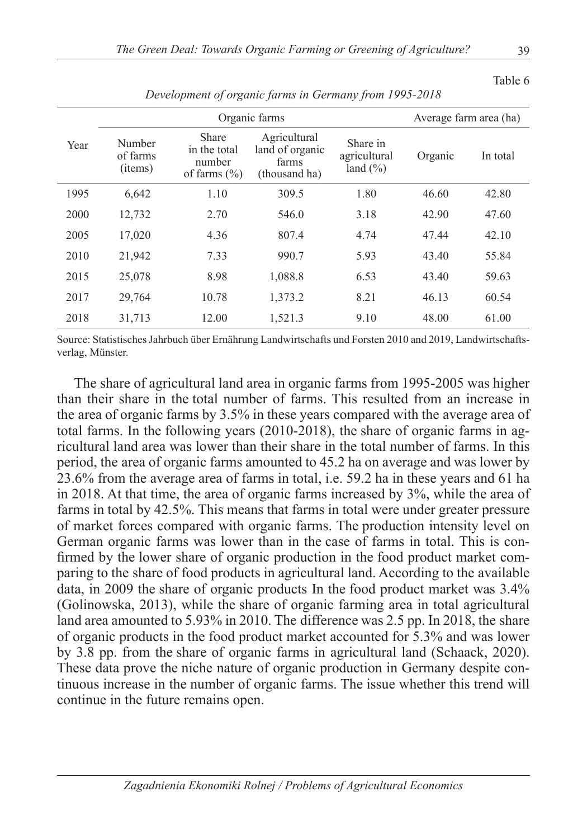|      |                               | Average farm area (ha)                              |                                                           |                                          |         |          |
|------|-------------------------------|-----------------------------------------------------|-----------------------------------------------------------|------------------------------------------|---------|----------|
| Year | Number<br>of farms<br>(items) | Share<br>in the total<br>number<br>of farms $(\% )$ | Agricultural<br>land of organic<br>farms<br>(thousand ha) | Share in<br>agricultural<br>land $(\% )$ | Organic | In total |
| 1995 | 6.642                         | 1.10                                                | 309.5                                                     | 1.80                                     | 46.60   | 42.80    |
| 2000 | 12,732                        | 2.70                                                | 546.0                                                     | 3.18                                     | 42.90   | 47.60    |
| 2005 | 17,020                        | 4.36                                                | 807.4                                                     | 4.74                                     | 47.44   | 42.10    |
| 2010 | 21,942                        | 7.33                                                | 990.7                                                     | 5.93                                     | 43.40   | 55.84    |
| 2015 | 25,078                        | 8.98                                                | 1,088.8                                                   | 6.53                                     | 43.40   | 59.63    |
| 2017 | 29,764                        | 10.78                                               | 1,373.2                                                   | 8.21                                     | 46.13   | 60.54    |
| 2018 | 31,713                        | 12.00                                               | 1,521.3                                                   | 9.10                                     | 48.00   | 61.00    |

*Development of organic farms in Germany from 1995-2018*

Source: Statistisches Jahrbuch über Ernährung Landwirtschafts und Forsten 2010 and 2019, Landwirtschaftsverlag, Münster.

The share of agricultural land area in organic farms from 1995-2005 was higher than their share in the total number of farms. This resulted from an increase in the area of organic farms by 3.5% in these years compared with the average area of total farms. In the following years (2010-2018), the share of organic farms in agricultural land area was lower than their share in the total number of farms. In this period, the area of organic farms amounted to 45.2 ha on average and was lower by 23.6% from the average area of farms in total, i.e. 59.2 ha in these years and 61 ha in 2018. At that time, the area of organic farms increased by 3%, while the area of farms in total by 42.5%. This means that farms in total were under greater pressure of market forces compared with organic farms. The production intensity level on German organic farms was lower than in the case of farms in total. This is confirmed by the lower share of organic production in the food product market comparing to the share of food products in agricultural land. According to the available data, in 2009 the share of organic products In the food product market was 3.4% (Golinowska, 2013), while the share of organic farming area in total agricultural land area amounted to 5.93% in 2010. The difference was 2.5 pp. In 2018, the share of organic products in the food product market accounted for 5.3% and was lower by 3.8 pp. from the share of organic farms in agricultural land (Schaack, 2020). These data prove the niche nature of organic production in Germany despite continuous increase in the number of organic farms. The issue whether this trend will continue in the future remains open.

Table 6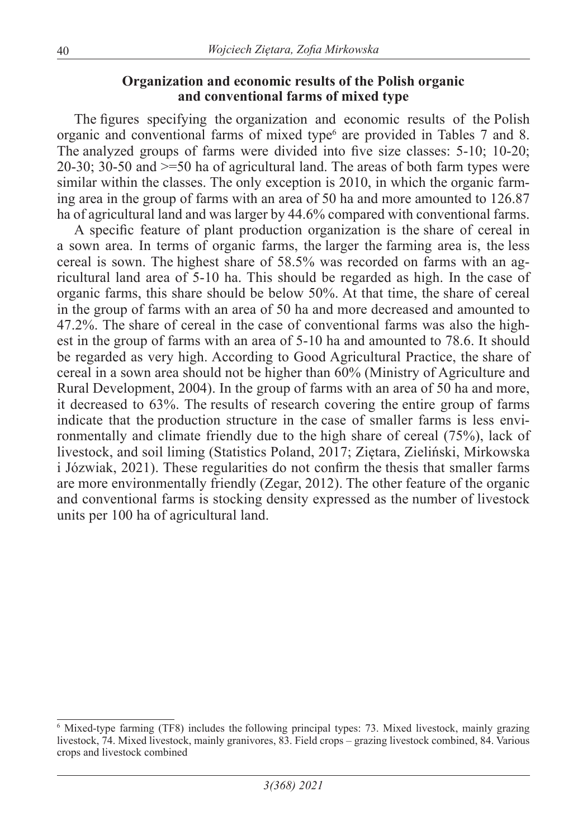#### **Organization and economic results of the Polish organic and conventional farms of mixed type**

The figures specifying the organization and economic results of the Polish organic and conventional farms of mixed type<sup>6</sup> are provided in Tables 7 and 8. The analyzed groups of farms were divided into five size classes: 5-10; 10-20; 20-30; 30-50 and >=50 ha of agricultural land. The areas of both farm types were similar within the classes. The only exception is 2010, in which the organic farming area in the group of farms with an area of 50 ha and more amounted to 126.87 ha of agricultural land and was larger by 44.6% compared with conventional farms.

A specific feature of plant production organization is the share of cereal in a sown area. In terms of organic farms, the larger the farming area is, the less cereal is sown. The highest share of 58.5% was recorded on farms with an agricultural land area of 5-10 ha. This should be regarded as high. In the case of organic farms, this share should be below 50%. At that time, the share of cereal in the group of farms with an area of 50 ha and more decreased and amounted to 47.2%. The share of cereal in the case of conventional farms was also the highest in the group of farms with an area of 5-10 ha and amounted to 78.6. It should be regarded as very high. According to Good Agricultural Practice, the share of cereal in a sown area should not be higher than 60% (Ministry of Agriculture and Rural Development, 2004). In the group of farms with an area of 50 ha and more, it decreased to 63%. The results of research covering the entire group of farms indicate that the production structure in the case of smaller farms is less environmentally and climate friendly due to the high share of cereal (75%), lack of livestock, and soil liming (Statistics Poland, 2017; Ziętara, Zieliński, Mirkowska i Józwiak, 2021). These regularities do not confirm the thesis that smaller farms are more environmentally friendly (Zegar, 2012). The other feature of the organic and conventional farms is stocking density expressed as the number of livestock units per 100 ha of agricultural land.

<sup>6</sup> Mixed-type farming (TF8) includes the following principal types: 73. Mixed livestock, mainly grazing livestock, 74. Mixed livestock, mainly granivores, 83. Field crops – grazing livestock combined, 84. Various crops and livestock combined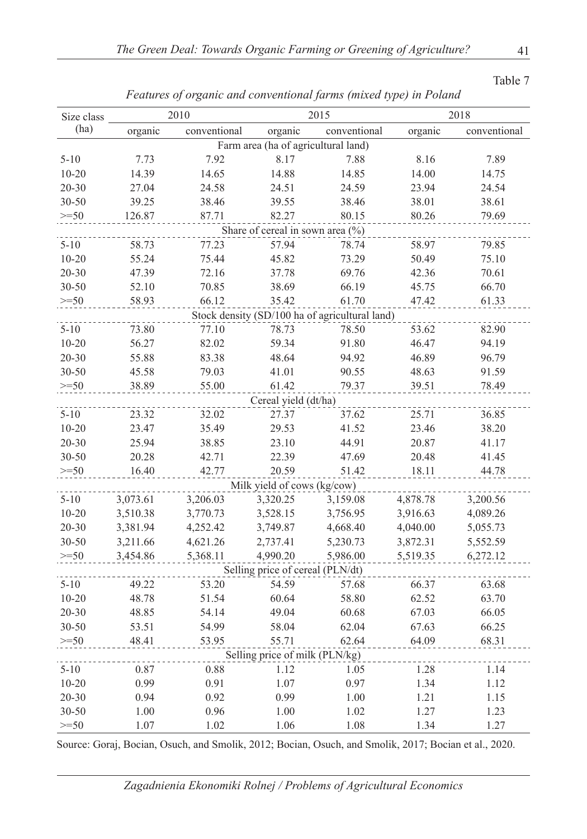| Size class |          | 2010         |                                     | 2015                                           |          | 2018         |
|------------|----------|--------------|-------------------------------------|------------------------------------------------|----------|--------------|
| (ha)       | organic  | conventional | organic                             | conventional                                   | organic  | conventional |
|            |          |              | Farm area (ha of agricultural land) |                                                |          |              |
| $5 - 10$   | 7.73     | 7.92         | 8.17                                | 7.88                                           | 8.16     | 7.89         |
| $10 - 20$  | 14.39    | 14.65        | 14.88                               | 14.85                                          | 14.00    | 14.75        |
| $20 - 30$  | 27.04    | 24.58        | 24.51                               | 24.59                                          | 23.94    | 24.54        |
| 30-50      | 39.25    | 38.46        | 39.55                               | 38.46                                          | 38.01    | 38.61        |
| $>=50$     | 126.87   | 87.71        | 82.27                               | 80.15                                          | 80.26    | 79.69        |
|            |          |              | Share of cereal in sown area (%)    |                                                |          |              |
| $5 - 10$   | 58.73    | 77.23        | 57.94                               | 78.74                                          | 58.97    | 79.85        |
| $10 - 20$  | 55.24    | 75.44        | 45.82                               | 73.29                                          | 50.49    | 75.10        |
| $20 - 30$  | 47.39    | 72.16        | 37.78                               | 69.76                                          | 42.36    | 70.61        |
| 30-50      | 52.10    | 70.85        | 38.69                               | 66.19                                          | 45.75    | 66.70        |
| $>=50$     | 58.93    | 66.12        | 35.42                               | 61.70                                          | 47.42    | 61.33        |
|            |          |              |                                     | Stock density (SD/100 ha of agricultural land) |          |              |
| $5 - 10$   | 73.80    | 77.10        | 78.73                               | 78.50                                          | 53.62    | 82.90        |
| $10 - 20$  | 56.27    | 82.02        | 59.34                               | 91.80                                          | 46.47    | 94.19        |
| $20 - 30$  | 55.88    | 83.38        | 48.64                               | 94.92                                          | 46.89    | 96.79        |
| $30 - 50$  | 45.58    | 79.03        | 41.01                               | 90.55                                          | 48.63    | 91.59        |
| $>=50$     | 38.89    | 55.00        | 61.42                               | 79.37                                          | 39.51    | 78.49        |
|            |          |              | Cereal yield (dt/ha)                |                                                |          |              |
| $5 - 10$   | 23.32    | 32.02        | 27.37                               | 37.62                                          | 25.71    | 36.85        |
| $10 - 20$  | 23.47    | 35.49        | 29.53                               | 41.52                                          | 23.46    | 38.20        |
| $20 - 30$  | 25.94    | 38.85        | 23.10                               | 44.91                                          | 20.87    | 41.17        |
| 30-50      | 20.28    | 42.71        | 22.39                               | 47.69                                          | 20.48    | 41.45        |
| $>=50$     | 16.40    | 42.77        | 20.59                               | 51.42                                          | 18.11    | 44.78        |
|            |          |              | Milk yield of cows (kg/cow)         |                                                |          |              |
| $5 - 10$   | 3,073.61 | 3,206.03     | 3,320.25                            | 3,159.08                                       | 4,878.78 | 3,200.56     |
| $10 - 20$  | 3,510.38 | 3,770.73     | 3,528.15                            | 3,756.95                                       | 3,916.63 | 4,089.26     |
| $20 - 30$  | 3,381.94 | 4,252.42     | 3,749.87                            | 4,668.40                                       | 4,040.00 | 5,055.73     |
| 30-50      | 3,211.66 | 4,621.26     | 2,737.41                            | 5,230.73                                       | 3,872.31 | 5,552.59     |
| $>=50$     | 3,454.86 | 5,368.11     | 4,990.20                            | 5,986.00                                       | 5,519.35 | 6,272.12     |
|            |          |              | Selling price of cereal (PLN/dt)    |                                                |          |              |
| $5 - 10$   | 49.22    | 53.20        | 54.59                               | 57.68                                          | 66.37    | 63.68        |
| $10 - 20$  | 48.78    | 51.54        | 60.64                               | 58.80                                          | 62.52    | 63.70        |
| 20-30      | 48.85    | 54.14        | 49.04                               | 60.68                                          | 67.03    | 66.05        |
| 30-50      | 53.51    | 54.99        | 58.04                               | 62.04                                          | 67.63    | 66.25        |
| $>=50$     | 48.41    | 53.95        | 55.71                               | 62.64                                          | 64.09    | 68.31        |
|            |          |              | Selling price of milk (PLN/kg)      |                                                |          |              |
| $5 - 10$   | 0.87     | 0.88         | 1.12                                | 1.05                                           | 1.28     | 1.14         |
| $10 - 20$  | 0.99     | 0.91         | 1.07                                | 0.97                                           | 1.34     | 1.12         |
| 20-30      | 0.94     | 0.92         | 0.99                                | 1.00                                           | 1.21     | 1.15         |
| 30-50      | 1.00     | 0.96         | 1.00                                | 1.02                                           | 1.27     | 1.23         |
| $>=50$     | 1.07     | 1.02         | 1.06                                | 1.08                                           | 1.34     | 1.27         |

*Features of organic and conventional farms (mixed type) in Poland*

Source: Goraj, Bocian, Osuch, and Smolik, 2012; Bocian, Osuch, and Smolik, 2017; Bocian et al., 2020.

*Zagadnienia Ekonomiki Rolnej / Problems of Agricultural Economics*

Table 7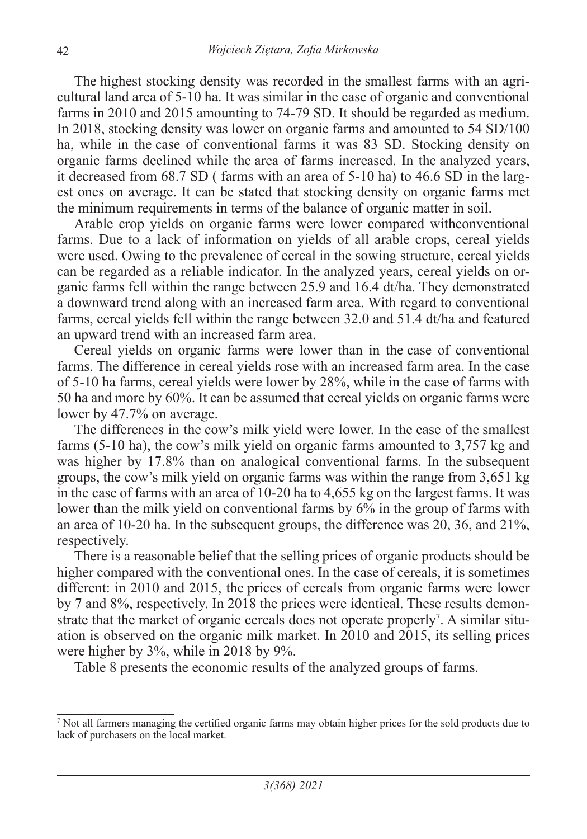The highest stocking density was recorded in the smallest farms with an agricultural land area of 5-10 ha. It was similar in the case of organic and conventional farms in 2010 and 2015 amounting to 74-79 SD. It should be regarded as medium. In 2018, stocking density was lower on organic farms and amounted to 54 SD/100 ha, while in the case of conventional farms it was 83 SD. Stocking density on organic farms declined while the area of farms increased. In the analyzed years, it decreased from 68.7 SD ( farms with an area of 5-10 ha) to 46.6 SD in the largest ones on average. It can be stated that stocking density on organic farms met the minimum requirements in terms of the balance of organic matter in soil.

Arable crop yields on organic farms were lower compared withconventional farms. Due to a lack of information on yields of all arable crops, cereal yields were used. Owing to the prevalence of cereal in the sowing structure, cereal yields can be regarded as a reliable indicator. In the analyzed years, cereal yields on organic farms fell within the range between 25.9 and 16.4 dt/ha. They demonstrated a downward trend along with an increased farm area. With regard to conventional farms, cereal yields fell within the range between 32.0 and 51.4 dt/ha and featured an upward trend with an increased farm area.

Cereal yields on organic farms were lower than in the case of conventional farms. The difference in cereal yields rose with an increased farm area. In the case of 5-10 ha farms, cereal yields were lower by 28%, while in the case of farms with 50 ha and more by 60%. It can be assumed that cereal yields on organic farms were lower by 47.7% on average.

The differences in the cow's milk yield were lower. In the case of the smallest farms (5-10 ha), the cow's milk yield on organic farms amounted to 3,757 kg and was higher by 17.8% than on analogical conventional farms. In the subsequent groups, the cow's milk yield on organic farms was within the range from 3,651 kg in the case of farms with an area of 10-20 ha to 4,655 kg on the largest farms. It was lower than the milk yield on conventional farms by  $6\%$  in the group of farms with an area of 10-20 ha. In the subsequent groups, the difference was 20, 36, and 21%, respectively.

There is a reasonable belief that the selling prices of organic products should be higher compared with the conventional ones. In the case of cereals, it is sometimes different: in 2010 and 2015, the prices of cereals from organic farms were lower by 7 and 8%, respectively. In 2018 the prices were identical. These results demonstrate that the market of organic cereals does not operate properly<sup>7</sup>. A similar situation is observed on the organic milk market. In 2010 and 2015, its selling prices were higher by 3%, while in 2018 by 9%.

Table 8 presents the economic results of the analyzed groups of farms.

<sup>7</sup> Not all farmers managing the certified organic farms may obtain higher prices for the sold products due to lack of purchasers on the local market.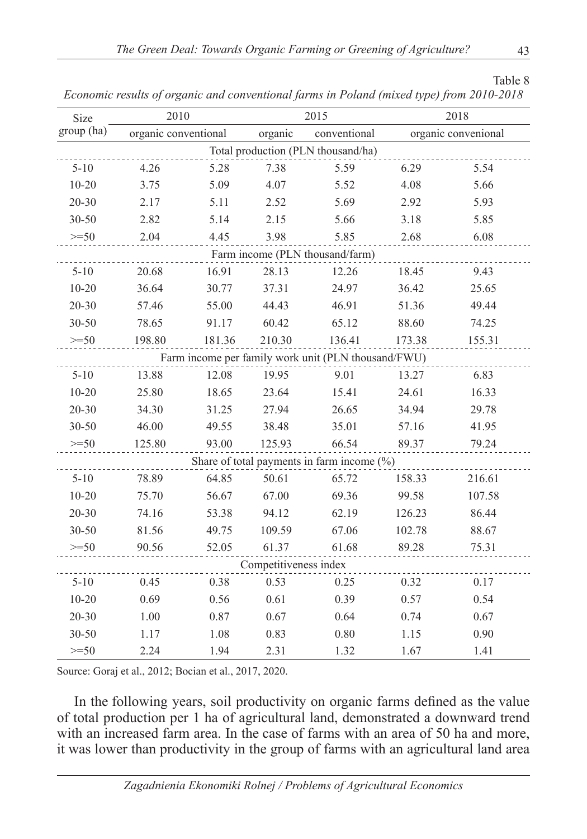Table 8

| Size                            | 2010                 |        |                       | 2015                                                | 2018   |                     |  |  |
|---------------------------------|----------------------|--------|-----------------------|-----------------------------------------------------|--------|---------------------|--|--|
| group (ha)                      | organic conventional |        | organic               | conventional                                        |        | organic convenional |  |  |
|                                 |                      |        |                       | Total production (PLN thousand/ha)                  |        |                     |  |  |
| $5 - 10$                        | 4.26                 | 5.28   | 7.38                  | 5.59                                                | 6.29   | 5.54                |  |  |
| $10 - 20$                       | 3.75                 | 5.09   | 4.07                  | 5.52                                                | 4.08   | 5.66                |  |  |
| $20 - 30$                       | 2.17                 | 5.11   | 2.52                  | 5.69                                                | 2.92   | 5.93                |  |  |
| 30-50                           | 2.82                 | 5.14   | 2.15                  | 5.66                                                | 3.18   | 5.85                |  |  |
| $>=50$                          | 2.04                 | 4.45   | 3.98                  | 5.85                                                | 2.68   | 6.08                |  |  |
| Farm income (PLN thousand/farm) |                      |        |                       |                                                     |        |                     |  |  |
| $5 - 10$                        | 20.68                | 16.91  | 28.13                 | 12.26                                               | 18.45  | 9.43                |  |  |
| $10 - 20$                       | 36.64                | 30.77  | 37.31                 | 24.97                                               | 36.42  | 25.65               |  |  |
| $20 - 30$                       | 57.46                | 55.00  | 44.43                 | 46.91                                               | 51.36  | 49.44               |  |  |
| 30-50                           | 78.65                | 91.17  | 60.42                 | 65.12                                               | 88.60  | 74.25               |  |  |
| $>=50$                          | 198.80               | 181.36 | 210.30                | 136.41                                              | 173.38 | 155.31              |  |  |
|                                 |                      |        |                       | Farm income per family work unit (PLN thousand/FWU) |        |                     |  |  |
| $5 - 10$                        | 13.88                | 12.08  | 19.95                 | 9.01                                                | 13.27  | 6.83                |  |  |
| $10 - 20$                       | 25.80                | 18.65  | 23.64                 | 15.41                                               | 24.61  | 16.33               |  |  |
| $20 - 30$                       | 34.30                | 31.25  | 27.94                 | 26.65                                               | 34.94  | 29.78               |  |  |
| 30-50                           | 46.00                | 49.55  | 38.48                 | 35.01                                               | 57.16  | 41.95               |  |  |
| $>=50$                          | 125.80               | 93.00  | 125.93                | 66.54                                               | 89.37  | 79.24               |  |  |
|                                 |                      |        |                       | Share of total payments in farm income $(\%)$       |        |                     |  |  |
| $5 - 10$                        | 78.89                | 64.85  | 50.61                 | 65.72                                               | 158.33 | 216.61              |  |  |
| $10 - 20$                       | 75.70                | 56.67  | 67.00                 | 69.36                                               | 99.58  | 107.58              |  |  |
| $20 - 30$                       | 74.16                | 53.38  | 94.12                 | 62.19                                               | 126.23 | 86.44               |  |  |
| 30-50                           | 81.56                | 49.75  | 109.59                | 67.06                                               | 102.78 | 88.67               |  |  |
| $>=50$                          | 90.56                | 52.05  | 61.37                 | 61.68                                               | 89.28  | 75.31               |  |  |
|                                 |                      |        | Competitiveness index |                                                     |        |                     |  |  |
| $5 - 10$                        | 0.45                 | 0.38   | 0.53                  | 0.25                                                | 0.32   | 0.17                |  |  |
| $10 - 20$                       | 0.69                 | 0.56   | 0.61                  | 0.39                                                | 0.57   | 0.54                |  |  |
| $20 - 30$                       | 1.00                 | 0.87   | 0.67                  | 0.64                                                | 0.74   | 0.67                |  |  |
| 30-50                           | 1.17                 | 1.08   | 0.83                  | 0.80                                                | 1.15   | 0.90                |  |  |
| $>=50$                          | 2.24                 | 1.94   | 2.31                  | 1.32                                                | 1.67   | 1.41                |  |  |

*Economic results of organic and conventional farms in Poland (mixed type) from 2010-2018*

Source: Goraj et al., 2012; Bocian et al., 2017, 2020.

In the following years, soil productivity on organic farms defined as the value of total production per 1 ha of agricultural land, demonstrated a downward trend with an increased farm area. In the case of farms with an area of 50 ha and more, it was lower than productivity in the group of farms with an agricultural land area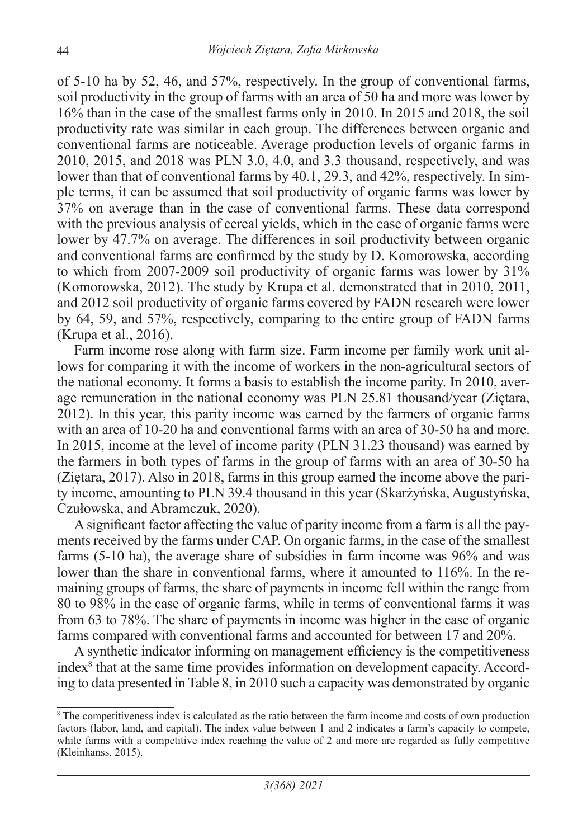of 5-10 ha by 52, 46, and 57%, respectively. In the group of conventional farms, soil productivity in the group of farms with an area of 50 ha and more was lower by 16% than in the case of the smallest farms only in 2010. In 2015 and 2018, the soil productivity rate was similar in each group. The differences between organic and conventional farms are noticeable. Average production levels of organic farms in 2010, 2015, and 2018 was PLN 3.0, 4.0, and 3.3 thousand, respectively, and was lower than that of conventional farms by 40.1, 29.3, and 42%, respectively. In simple terms, it can be assumed that soil productivity of organic farms was lower by 37% on average than in the case of conventional farms. These data correspond with the previous analysis of cereal yields, which in the case of organic farms were lower by 47.7% on average. The differences in soil productivity between organic and conventional farms are confirmed by the study by D. Komorowska, according to which from 2007-2009 soil productivity of organic farms was lower by 31% (Komorowska, 2012). The study by Krupa et al. demonstrated that in 2010, 2011, and 2012 soil productivity of organic farms covered by FADN research were lower by 64, 59, and 57%, respectively, comparing to the entire group of FADN farms (Krupa et al., 2016).

Farm income rose along with farm size. Farm income per family work unit allows for comparing it with the income of workers in the non-agricultural sectors of the national economy. It forms a basis to establish the income parity. In 2010, average remuneration in the national economy was PLN 25.81 thousand/year (Ziętara, 2012). In this year, this parity income was earned by the farmers of organic farms with an area of 10-20 ha and conventional farms with an area of 30-50 ha and more. In 2015, income at the level of income parity (PLN 31.23 thousand) was earned by the farmers in both types of farms in the group of farms with an area of 30-50 ha (Ziętara, 2017). Also in 2018, farms in this group earned the income above the parity income, amounting to PLN 39.4 thousand in this year (Skarżyńska, Augustyńska, Czułowska, and Abramczuk, 2020).

A significant factor affecting the value of parity income from a farm is all the payments received by the farms under CAP. On organic farms, in the case of the smallest farms (5-10 ha), the average share of subsidies in farm income was 96% and was lower than the share in conventional farms, where it amounted to 116%. In the remaining groups of farms, the share of payments in income fell within the range from 80 to 98% in the case of organic farms, while in terms of conventional farms it was from 63 to 78%. The share of payments in income was higher in the case of organic farms compared with conventional farms and accounted for between 17 and 20%.

A synthetic indicator informing on management efficiency is the competitiveness index<sup>8</sup> that at the same time provides information on development capacity. According to data presented in Table 8, in 2010 such a capacity was demonstrated by organic

<sup>&</sup>lt;sup>8</sup> The competitiveness index is calculated as the ratio between the farm income and costs of own production factors (labor, land, and capital). The index value between 1 and 2 indicates a farm's capacity to compete, while farms with a competitive index reaching the value of 2 and more are regarded as fully competitive (Kleinhanss, 2015).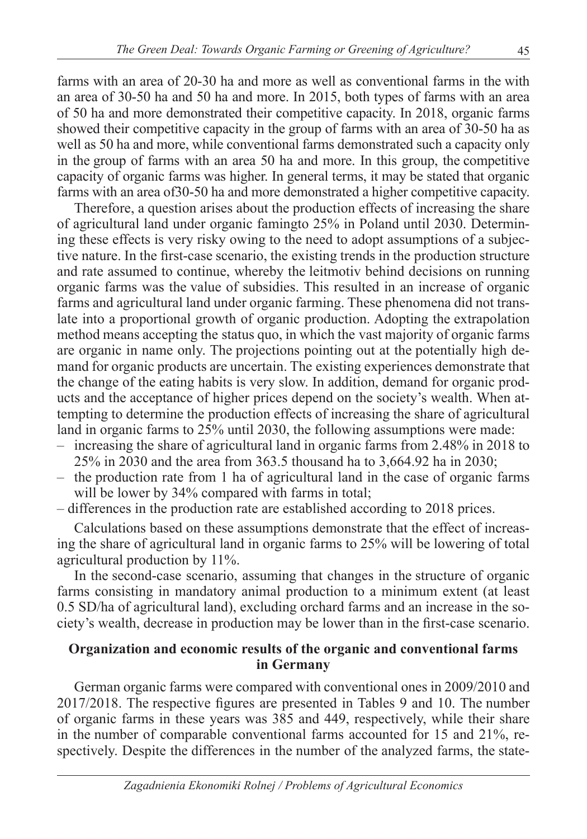farms with an area of 20-30 ha and more as well as conventional farms in the with an area of 30-50 ha and 50 ha and more. In 2015, both types of farms with an area of 50 ha and more demonstrated their competitive capacity. In 2018, organic farms showed their competitive capacity in the group of farms with an area of 30-50 ha as well as 50 ha and more, while conventional farms demonstrated such a capacity only in the group of farms with an area 50 ha and more. In this group, the competitive capacity of organic farms was higher. In general terms, it may be stated that organic farms with an area of30-50 ha and more demonstrated a higher competitive capacity.

Therefore, a question arises about the production effects of increasing the share of agricultural land under organic famingto 25% in Poland until 2030. Determining these effects is very risky owing to the need to adopt assumptions of a subjective nature. In the first-case scenario, the existing trends in the production structure and rate assumed to continue, whereby the leitmotiv behind decisions on running organic farms was the value of subsidies. This resulted in an increase of organic farms and agricultural land under organic farming. These phenomena did not translate into a proportional growth of organic production. Adopting the extrapolation method means accepting the status quo, in which the vast majority of organic farms are organic in name only. The projections pointing out at the potentially high demand for organic products are uncertain. The existing experiences demonstrate that the change of the eating habits is very slow. In addition, demand for organic products and the acceptance of higher prices depend on the society's wealth. When attempting to determine the production effects of increasing the share of agricultural land in organic farms to 25% until 2030, the following assumptions were made:

- increasing the share of agricultural land in organic farms from 2.48% in 2018 to 25% in 2030 and the area from 363.5 thousand ha to 3,664.92 ha in 2030;
- the production rate from 1 ha of agricultural land in the case of organic farms will be lower by 34% compared with farms in total;
- differences in the production rate are established according to 2018 prices.

Calculations based on these assumptions demonstrate that the effect of increasing the share of agricultural land in organic farms to 25% will be lowering of total agricultural production by 11%.

In the second-case scenario, assuming that changes in the structure of organic farms consisting in mandatory animal production to a minimum extent (at least 0.5 SD/ha of agricultural land), excluding orchard farms and an increase in the society's wealth, decrease in production may be lower than in the first-case scenario.

#### **Organization and economic results of the organic and conventional farms in Germany**

German organic farms were compared with conventional ones in 2009/2010 and 2017/2018. The respective figures are presented in Tables 9 and 10. The number of organic farms in these years was 385 and 449, respectively, while their share in the number of comparable conventional farms accounted for 15 and 21%, respectively. Despite the differences in the number of the analyzed farms, the state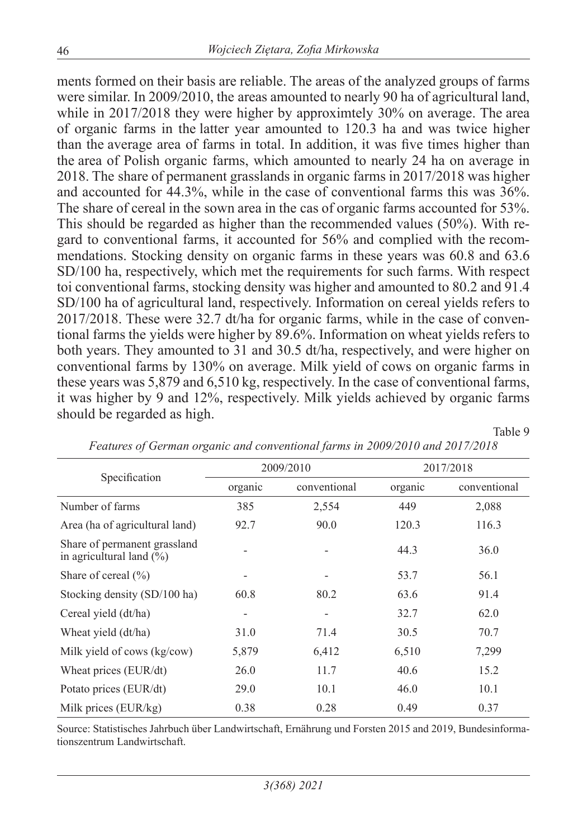ments formed on their basis are reliable. The areas of the analyzed groups of farms were similar. In 2009/2010, the areas amounted to nearly 90 ha of agricultural land, while in 2017/2018 they were higher by approximitely 30% on average. The area of organic farms in the latter year amounted to 120.3 ha and was twice higher than the average area of farms in total. In addition, it was five times higher than the area of Polish organic farms, which amounted to nearly 24 ha on average in 2018. The share of permanent grasslands in organic farms in 2017/2018 was higher and accounted for 44.3%, while in the case of conventional farms this was 36%. The share of cereal in the sown area in the cas of organic farms accounted for 53%. This should be regarded as higher than the recommended values (50%). With regard to conventional farms, it accounted for 56% and complied with the recommendations. Stocking density on organic farms in these years was 60.8 and 63.6 SD/100 ha, respectively, which met the requirements for such farms. With respect toi conventional farms, stocking density was higher and amounted to 80.2 and 91.4 SD/100 ha of agricultural land, respectively. Information on cereal yields refers to 2017/2018. These were 32.7 dt/ha for organic farms, while in the case of conventional farms the yields were higher by 89.6%. Information on wheat yields refers to both years. They amounted to 31 and 30.5 dt/ha, respectively, and were higher on conventional farms by 130% on average. Milk yield of cows on organic farms in these years was 5,879 and 6,510 kg, respectively. In the case of conventional farms, it was higher by 9 and 12%, respectively. Milk yields achieved by organic farms should be regarded as high.

|                                                                      |         | 2009/2010    | 2017/2018 |              |  |
|----------------------------------------------------------------------|---------|--------------|-----------|--------------|--|
| Specification                                                        | organic | conventional | organic   | conventional |  |
| Number of farms                                                      | 385     | 2,554        | 449       | 2,088        |  |
| Area (ha of agricultural land)                                       | 92.7    | 90.0         | 120.3     | 116.3        |  |
| Share of permanent grassland<br>in agricultural land $(\frac{6}{6})$ |         |              | 44.3      | 36.0         |  |
| Share of cereal $(\% )$                                              |         | ۰            | 53.7      | 56.1         |  |
| Stocking density (SD/100 ha)                                         | 60.8    | 80.2         | 63.6      | 91.4         |  |
| Cereal yield (dt/ha)                                                 |         |              | 32.7      | 62.0         |  |
| Wheat yield (dt/ha)                                                  | 31.0    | 71.4         | 30.5      | 70.7         |  |
| Milk yield of cows (kg/cow)                                          | 5,879   | 6,412        | 6,510     | 7,299        |  |
| Wheat prices (EUR/dt)                                                | 26.0    | 11.7         | 40.6      | 15.2         |  |
| Potato prices (EUR/dt)                                               | 29.0    | 10.1         | 46.0      | 10.1         |  |
| Milk prices (EUR/kg)                                                 | 0.38    | 0.28         | 0.49      | 0.37         |  |

*Features of German organic and conventional farms in 2009/2010 and 2017/2018*

Table 9

Source: Statistisches Jahrbuch über Landwirtschaft, Ernährung und Forsten 2015 and 2019, Bundesinformationszentrum Landwirtschaft.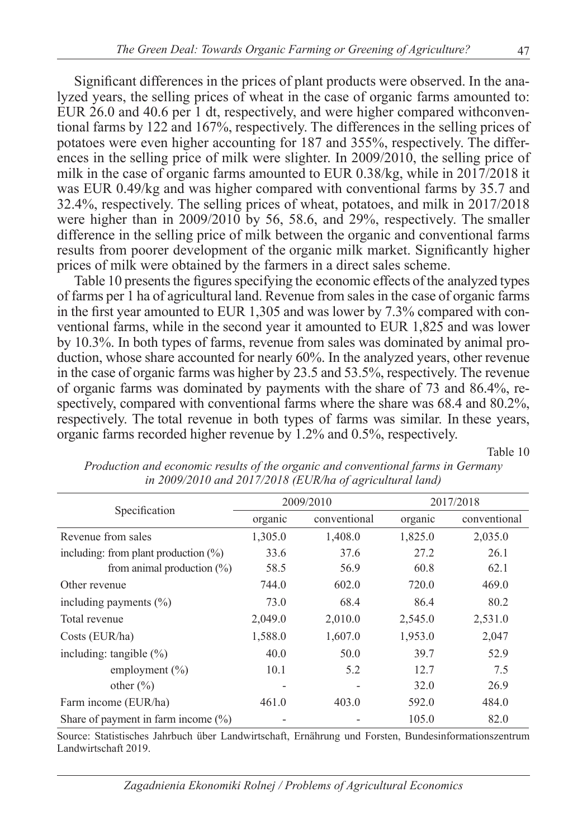Significant differences in the prices of plant products were observed. In the analyzed years, the selling prices of wheat in the case of organic farms amounted to: EUR 26.0 and 40.6 per 1 dt, respectively, and were higher compared withconventional farms by 122 and 167%, respectively. The differences in the selling prices of potatoes were even higher accounting for 187 and 355%, respectively. The differences in the selling price of milk were slighter. In 2009/2010, the selling price of milk in the case of organic farms amounted to EUR 0.38/kg, while in 2017/2018 it was EUR 0.49/kg and was higher compared with conventional farms by 35.7 and 32.4%, respectively. The selling prices of wheat, potatoes, and milk in 2017/2018 were higher than in 2009/2010 by 56, 58.6, and 29%, respectively. The smaller difference in the selling price of milk between the organic and conventional farms results from poorer development of the organic milk market. Significantly higher prices of milk were obtained by the farmers in a direct sales scheme.

Table 10 presents the figures specifying the economic effects of the analyzed types of farms per 1 ha of agricultural land. Revenue from sales in the case of organic farms in the first year amounted to EUR 1,305 and was lower by 7.3% compared with conventional farms, while in the second year it amounted to EUR 1,825 and was lower by 10.3%. In both types of farms, revenue from sales was dominated by animal production, whose share accounted for nearly 60%. In the analyzed years, other revenue in the case of organic farms was higher by 23.5 and 53.5%, respectively. The revenue of organic farms was dominated by payments with the share of 73 and 86.4%, respectively, compared with conventional farms where the share was 68.4 and 80.2%, respectively. The total revenue in both types of farms was similar. In these years, organic farms recorded higher revenue by 1.2% and 0.5%, respectively.

Table 10

|                                         |         | 2009/2010    | 2017/2018 |              |
|-----------------------------------------|---------|--------------|-----------|--------------|
| Specification                           | organic | conventional | organic   | conventional |
| Revenue from sales                      | 1,305.0 | 1,408.0      | 1,825.0   | 2,035.0      |
| including: from plant production $(\%)$ | 33.6    | 37.6         | 27.2      | 26.1         |
| from animal production $(\%)$           | 58.5    | 56.9         | 60.8      | 62.1         |
| Other revenue                           | 744.0   | 602.0        | 720.0     | 469.0        |
| including payments $(\% )$              | 73.0    | 68.4         | 86.4      | 80.2         |
| Total revenue                           | 2,049.0 | 2,010.0      | 2,545.0   | 2,531.0      |
| Costs (EUR/ha)                          | 1,588.0 | 1,607.0      | 1,953.0   | 2,047        |
| including: tangible $(\% )$             | 40.0    | 50.0         | 39.7      | 52.9         |
| employment $(\% )$                      | 10.1    | 5.2          | 12.7      | 7.5          |
| other $(\% )$                           | ٠       |              | 32.0      | 26.9         |
| Farm income (EUR/ha)                    | 461.0   | 403.0        | 592.0     | 484.0        |
| Share of payment in farm income $(\%)$  |         |              | 105.0     | 82.0         |

*Production and economic results of the organic and conventional farms in Germany in 2009/2010 and 2017/2018 (EUR/ha of agricultural land)*

Source: Statistisches Jahrbuch über Landwirtschaft, Ernährung und Forsten, Bundesinformationszentrum Landwirtschaft 2019.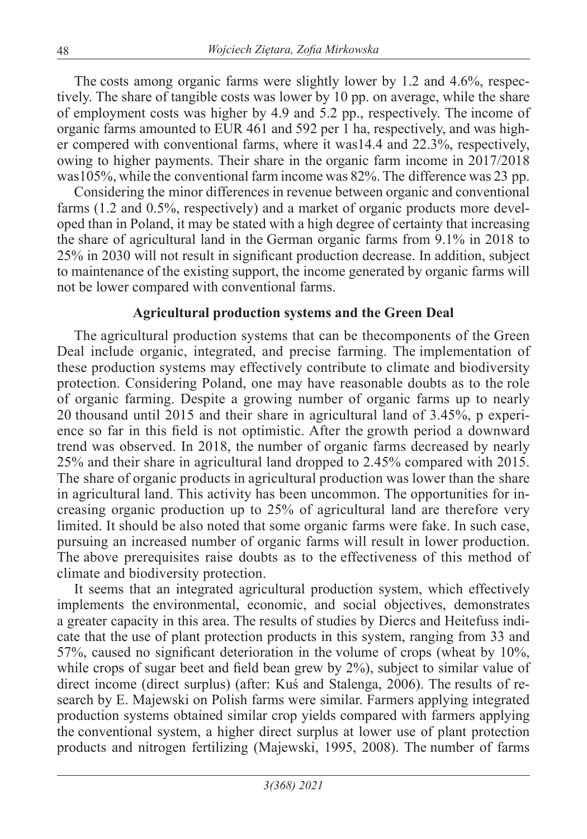The costs among organic farms were slightly lower by 1.2 and 4.6%, respectively. The share of tangible costs was lower by 10 pp. on average, while the share of employment costs was higher by 4.9 and 5.2 pp., respectively. The income of organic farms amounted to EUR 461 and 592 per 1 ha, respectively, and was higher compered with conventional farms, where it was14.4 and 22.3%, respectively, owing to higher payments. Their share in the organic farm income in 2017/2018 was105%, while the conventional farm income was 82%. The difference was 23 pp.

Considering the minor differences in revenue between organic and conventional farms (1.2 and 0.5%, respectively) and a market of organic products more developed than in Poland, it may be stated with a high degree of certainty that increasing the share of agricultural land in the German organic farms from 9.1% in 2018 to 25% in 2030 will not result in significant production decrease. In addition, subject to maintenance of the existing support, the income generated by organic farms will not be lower compared with conventional farms.

## **Agricultural production systems and the Green Deal**

The agricultural production systems that can be thecomponents of the Green Deal include organic, integrated, and precise farming. The implementation of these production systems may effectively contribute to climate and biodiversity protection. Considering Poland, one may have reasonable doubts as to the role of organic farming. Despite a growing number of organic farms up to nearly 20 thousand until 2015 and their share in agricultural land of 3.45%, p experience so far in this field is not optimistic. After the growth period a downward trend was observed. In 2018, the number of organic farms decreased by nearly 25% and their share in agricultural land dropped to 2.45% compared with 2015. The share of organic products in agricultural production was lower than the share in agricultural land. This activity has been uncommon. The opportunities for increasing organic production up to 25% of agricultural land are therefore very limited. It should be also noted that some organic farms were fake. In such case, pursuing an increased number of organic farms will result in lower production. The above prerequisites raise doubts as to the effectiveness of this method of climate and biodiversity protection.

It seems that an integrated agricultural production system, which effectively implements the environmental, economic, and social objectives, demonstrates a greater capacity in this area. The results of studies by Diercs and Heitefuss indicate that the use of plant protection products in this system, ranging from 33 and 57%, caused no significant deterioration in the volume of crops (wheat by 10%, while crops of sugar beet and field bean grew by 2%), subject to similar value of direct income (direct surplus) (after: Kuś and Stalenga, 2006). The results of research by E. Majewski on Polish farms were similar. Farmers applying integrated production systems obtained similar crop yields compared with farmers applying the conventional system, a higher direct surplus at lower use of plant protection products and nitrogen fertilizing (Majewski, 1995, 2008). The number of farms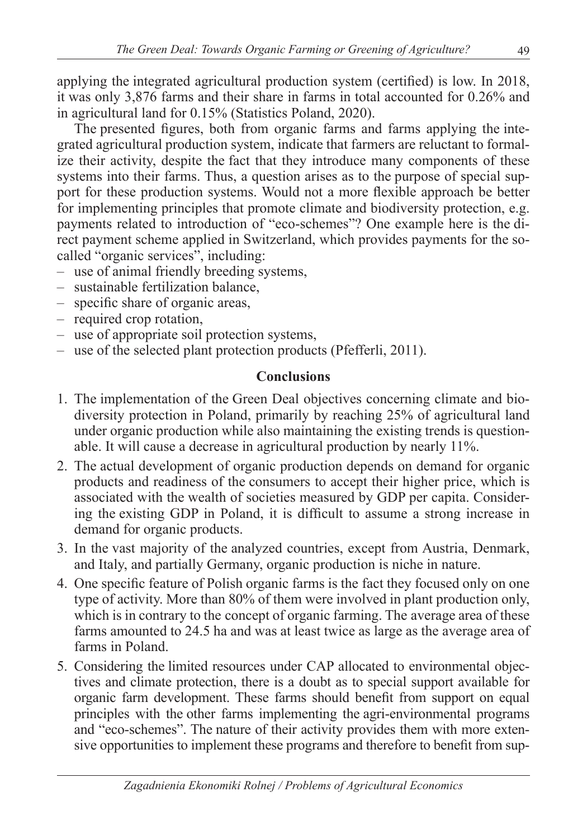applying the integrated agricultural production system (certified) is low. In 2018, it was only 3,876 farms and their share in farms in total accounted for 0.26% and in agricultural land for 0.15% (Statistics Poland, 2020).

The presented figures, both from organic farms and farms applying the integrated agricultural production system, indicate that farmers are reluctant to formalize their activity, despite the fact that they introduce many components of these systems into their farms. Thus, a question arises as to the purpose of special support for these production systems. Would not a more flexible approach be better for implementing principles that promote climate and biodiversity protection, e.g. payments related to introduction of "eco-schemes"? One example here is the direct payment scheme applied in Switzerland, which provides payments for the socalled "organic services", including:

- use of animal friendly breeding systems,
- sustainable fertilization balance,
- specific share of organic areas,
- required crop rotation,
- use of appropriate soil protection systems,
- use of the selected plant protection products (Pfefferli, 2011).

## **Conclusions**

- 1. The implementation of the Green Deal objectives concerning climate and biodiversity protection in Poland, primarily by reaching 25% of agricultural land under organic production while also maintaining the existing trends is questionable. It will cause a decrease in agricultural production by nearly 11%.
- 2. The actual development of organic production depends on demand for organic products and readiness of the consumers to accept their higher price, which is associated with the wealth of societies measured by GDP per capita. Considering the existing GDP in Poland, it is difficult to assume a strong increase in demand for organic products.
- 3. In the vast majority of the analyzed countries, except from Austria, Denmark, and Italy, and partially Germany, organic production is niche in nature.
- 4. One specific feature of Polish organic farms is the fact they focused only on one type of activity. More than 80% of them were involved in plant production only, which is in contrary to the concept of organic farming. The average area of these farms amounted to 24.5 ha and was at least twice as large as the average area of farms in Poland.
- 5. Considering the limited resources under CAP allocated to environmental objectives and climate protection, there is a doubt as to special support available for organic farm development. These farms should benefit from support on equal principles with the other farms implementing the agri-environmental programs and "eco-schemes". The nature of their activity provides them with more extensive opportunities to implement these programs and therefore to benefit from sup-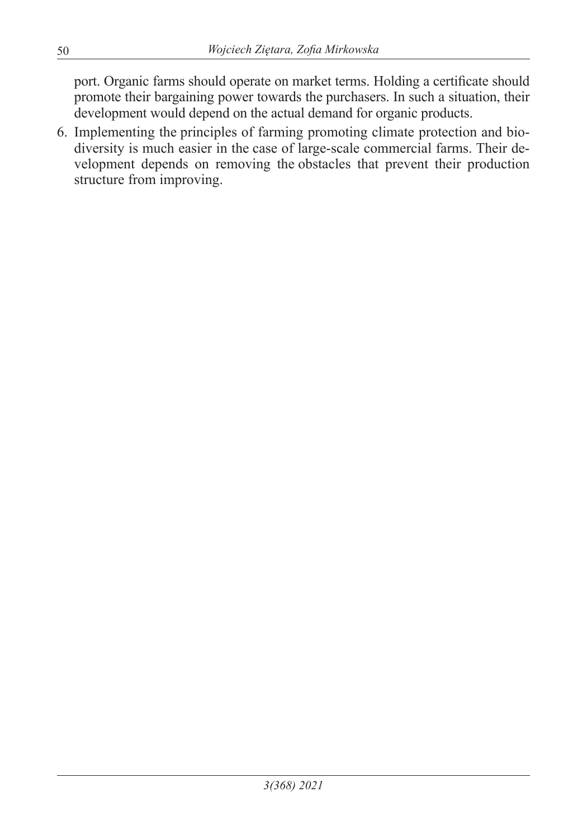port. Organic farms should operate on market terms. Holding a certificate should promote their bargaining power towards the purchasers. In such a situation, their development would depend on the actual demand for organic products.

6. Implementing the principles of farming promoting climate protection and biodiversity is much easier in the case of large-scale commercial farms. Their development depends on removing the obstacles that prevent their production structure from improving.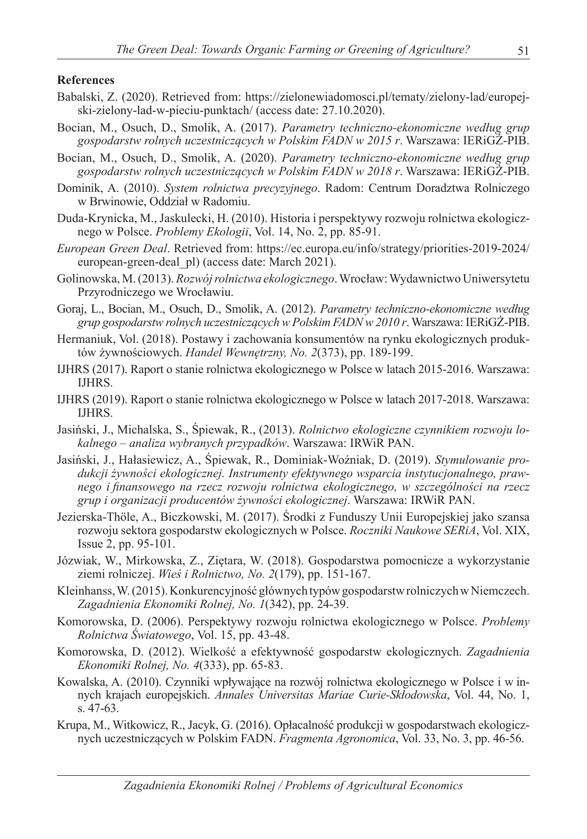#### **References**

- Babalski, Z. (2020). Retrieved from: https://zielonewiadomosci.pl/tematy/zielony-lad/europejski-zielony-lad-w-pieciu-punktach/ (access date: 27.10.2020).
- Bocian, M., Osuch, D., Smolik, A. (2017). *Parametry techniczno-ekonomiczne według grup gospodarstw rolnych uczestniczących w Polskim FADN w 2015 r*. Warszawa: IERiGŻ-PIB.
- Bocian, M., Osuch, D., Smolik, A. (2020). *Parametry techniczno-ekonomiczne według grup gospodarstw rolnych uczestniczących w Polskim FADN w 2018 r*. Warszawa: IERiGŻ-PIB.
- Dominik, A. (2010). *System rolnictwa precyzyjnego*. Radom: Centrum Doradztwa Rolniczego w Brwinowie, Oddział w Radomiu.
- Duda-Krynicka, M., Jaskulecki, H. (2010). Historia i perspektywy rozwoju rolnictwa ekologicznego w Polsce. *Problemy Ekologii*, Vol. 14, No. 2, pp. 85-91.
- *European Green Deal*. Retrieved from: https://ec.europa.eu/info/strategy/priorities-2019-2024/ european-green-deal\_pl) (access date: March 2021).
- Golinowska, M. (2013). *Rozwój rolnictwa ekologicznego*. Wrocław: Wydawnictwo Uniwersytetu Przyrodniczego we Wrocławiu.
- Goraj, L., Bocian, M., Osuch, D., Smolik, A. (2012). *Parametry techniczno-ekonomiczne według grup gospodarstw rolnych uczestniczących w Polskim FADN w 2010 r*. Warszawa: IERiGŻ-PIB.
- Hermaniuk, Vol. (2018). Postawy i zachowania konsumentów na rynku ekologicznych produktów żywnościowych. *Handel Wewnętrzny, No. 2*(373), pp. 189-199.
- IJHRS (2017). Raport o stanie rolnictwa ekologicznego w Polsce w latach 2015-2016. Warszawa: IJHRS.
- IJHRS (2019). Raport o stanie rolnictwa ekologicznego w Polsce w latach 2017-2018. Warszawa: IJHRS.
- Jasiński, J., Michalska, S., Śpiewak, R., (2013). *Rolnictwo ekologiczne czynnikiem rozwoju lokalnego – analiza wybranych przypadków*. Warszawa: IRWiR PAN.
- Jasiński, J., Hałasiewicz, A., Śpiewak, R., Dominiak-Woźniak, D. (2019). *Stymulowanie produkcji żywności ekologicznej. Instrumenty efektywnego wsparcia instytucjonalnego, prawnego i finansowego na rzecz rozwoju rolnictwa ekologicznego, w szczególności na rzecz grup i organizacji producentów żywności ekologicznej*. Warszawa: IRWiR PAN.
- Jezierska-Thöle, A., Biczkowski, M. (2017). Środki z Funduszy Unii Europejskiej jako szansa rozwoju sektora gospodarstw ekologicznych w Polsce. *Roczniki Naukowe SERiA*, Vol. XIX, Issue 2, pp. 95-101.
- Józwiak, W., Mirkowska, Z., Ziętara, W. (2018). Gospodarstwa pomocnicze a wykorzystanie ziemi rolniczej. *Wieś i Rolnictwo, No. 2*(179), pp. 151-167.
- Kleinhanss, W. (2015). Konkurencyjność głównych typów gospodarstw rolniczych w Niemczech. *Zagadnienia Ekonomiki Rolnej, No. 1*(342), pp. 24-39.
- Komorowska, D. (2006). Perspektywy rozwoju rolnictwa ekologicznego w Polsce. *Problemy Rolnictwa Światowego*, Vol. 15, pp. 43-48.
- Komorowska, D. (2012). Wielkość a efektywność gospodarstw ekologicznych. *Zagadnienia Ekonomiki Rolnej, No. 4*(333), pp. 65-83.
- Kowalska, A. (2010). Czynniki wpływające na rozwój rolnictwa ekologicznego w Polsce i w innych krajach europejskich. *Annales Universitas Mariae Curie-Skłodowska*, Vol. 44, No. 1, s. 47-63.
- Krupa, M., Witkowicz, R., Jacyk, G. (2016). Opłacalność produkcji w gospodarstwach ekologicznych uczestniczących w Polskim FADN. *Fragmenta Agronomica*, Vol. 33, No. 3, pp. 46-56.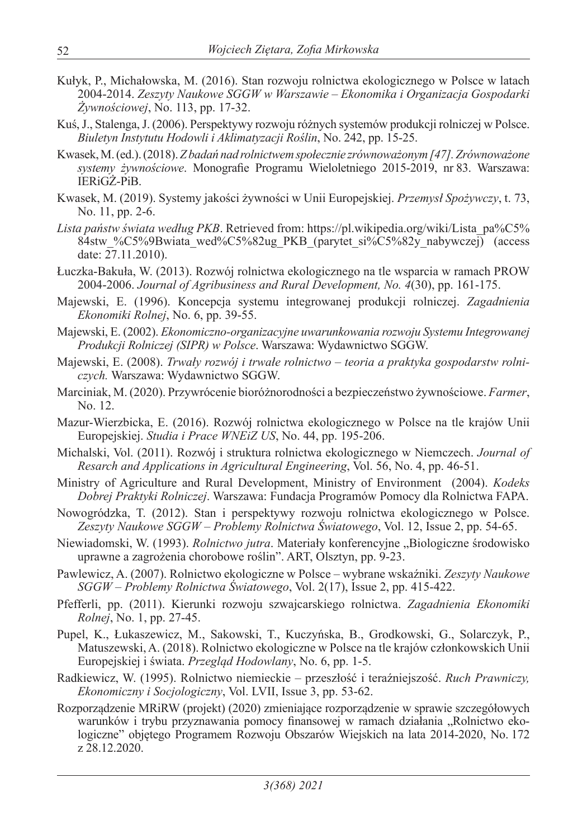- Kułyk, P., Michałowska, M. (2016). Stan rozwoju rolnictwa ekologicznego w Polsce w latach 2004-2014. *Zeszyty Naukowe SGGW w Warszawie – Ekonomika i Organizacja Gospodarki Żywnościowej*, No. 113, pp. 17-32.
- Kuś, J., Stalenga, J. (2006). Perspektywy rozwoju różnych systemów produkcji rolniczej w Polsce. *Biuletyn Instytutu Hodowli i Aklimatyzacji Roślin*, No. 242, pp. 15-25.
- Kwasek, M. (ed.). (2018). *Z badań nad rolnictwem społecznie zrównoważonym [47]. Zrównoważone systemy żywnościowe*. Monografie Programu Wieloletniego 2015-2019, nr 83. Warszawa: IERiGŻ-PiB.
- Kwasek, M. (2019). Systemy jakości żywności w Unii Europejskiej. *Przemysł Spożywczy*, t. 73, No. 11, pp. 2-6.
- *Lista państw świata według PKB*. Retrieved from: https://pl.wikipedia.org/wiki/Lista\_pa%C5% 84stw %C5%9Bwiata\_wed%C5%82ug\_PKB\_(parytet\_si%C5%82y\_nabywczej)\_(access date:  $27.11.2010$ ).
- Łuczka-Bakuła, W. (2013). Rozwój rolnictwa ekologicznego na tle wsparcia w ramach PROW 2004-2006. *Journal of Agribusiness and Rural Development, No. 4*(30), pp. 161-175.
- Majewski, E. (1996). Koncepcja systemu integrowanej produkcji rolniczej. *Zagadnienia Ekonomiki Rolnej*, No. 6, pp. 39-55.
- Majewski, E. (2002). *Ekonomiczno-organizacyjne uwarunkowania rozwoju Systemu Integrowanej Produkcji Rolniczej (SIPR) w Polsce*. Warszawa: Wydawnictwo SGGW.
- Majewski, E. (2008). *Trwały rozwój i trwałe rolnictwo teoria a praktyka gospodarstw rolniczych.* Warszawa: Wydawnictwo SGGW.
- Marciniak, M. (2020). Przywrócenie bioróżnorodności a bezpieczeństwo żywnościowe. *Farmer*, No. 12.
- Mazur-Wierzbicka, E. (2016). Rozwój rolnictwa ekologicznego w Polsce na tle krajów Unii Europejskiej. *Studia i Prace WNEiZ US*, No. 44, pp. 195-206.
- Michalski, Vol. (2011). Rozwój i struktura rolnictwa ekologicznego w Niemczech. *Journal of Resarch and Applications in Agricultural Engineering*, Vol. 56, No. 4, pp. 46-51.
- Ministry of Agriculture and Rural Development, Ministry of Environment (2004). *Kodeks Dobrej Praktyki Rolniczej*. Warszawa: Fundacja Programów Pomocy dla Rolnictwa FAPA.
- Nowogródzka, T. (2012). Stan i perspektywy rozwoju rolnictwa ekologicznego w Polsce. *Zeszyty Naukowe SGGW – Problemy Rolnictwa Światowego*, Vol. 12, Issue 2, pp. 54-65.
- Niewiadomski, W. (1993). *Rolnictwo jutra*. Materiały konferencyjne "Biologiczne środowisko uprawne a zagrożenia chorobowe roślin". ART, Olsztyn, pp. 9-23.
- Pawlewicz, A. (2007). Rolnictwo ekologiczne w Polsce wybrane wskaźniki. *Zeszyty Naukowe SGGW – Problemy Rolnictwa Światowego*, Vol. 2(17), Issue 2, pp. 415-422.
- Pfefferli, pp. (2011). Kierunki rozwoju szwajcarskiego rolnictwa. *Zagadnienia Ekonomiki Rolnej*, No. 1, pp. 27-45.
- Pupel, K., Łukaszewicz, M., Sakowski, T., Kuczyńska, B., Grodkowski, G., Solarczyk, P., Matuszewski, A. (2018). Rolnictwo ekologiczne w Polsce na tle krajów członkowskich Unii Europejskiej i świata. *Przegląd Hodowlany*, No. 6, pp. 1-5.
- Radkiewicz, W. (1995). Rolnictwo niemieckie przeszłość i teraźniejszość. *Ruch Prawniczy, Ekonomiczny i Socjologiczny*, Vol. LVII, Issue 3, pp. 53-62.
- Rozporządzenie MRiRW (projekt) (2020) zmieniające rozporządzenie w sprawie szczegółowych warunków i trybu przyznawania pomocy finansowej w ramach działania "Rolnictwo ekologiczne" objętego Programem Rozwoju Obszarów Wiejskich na lata 2014-2020, No. 172 z 28.12.2020.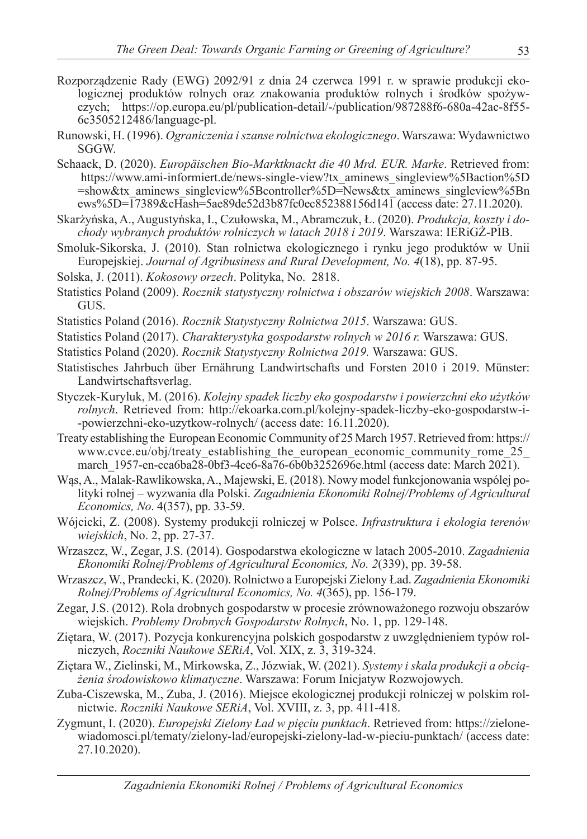- Rozporządzenie Rady (EWG) 2092/91 z dnia 24 czerwca 1991 r. w sprawie produkcji ekologicznej produktów rolnych oraz znakowania produktów rolnych i środków spożywczych; https://op.europa.eu/pl/publication-detail/-/publication/987288f6-680a-42ac-8f55- 6c3505212486/language-pl.
- Runowski, H. (1996). *Ograniczenia i szanse rolnictwa ekologicznego*. Warszawa: Wydawnictwo SGGW.
- Schaack, D. (2020). *Europäischen Bio-Marktknackt die 40 Mrd. EUR. Marke*. Retrieved from: https://www.ami-informiert.de/news-single-view?tx\_aminews\_singleview%5Baction%5D =show&tx\_aminews\_singleview%5Bcontroller%5D=News&tx\_aminews\_singleview%5Bn ews%5D=17389&cHash=5ae89de52d3b87fc0ec852388156d141 (access date: 27.11.2020).
- Skarżyńska, A., Augustyńska, I., Czułowska, M., Abramczuk, Ł. (2020). *Produkcja, koszty i dochody wybranych produktów rolniczych w latach 2018 i 2019*. Warszawa: IERiGŻ-PIB.
- Smoluk-Sikorska, J. (2010). Stan rolnictwa ekologicznego i rynku jego produktów w Unii Europejskiej. *Journal of Agribusiness and Rural Development, No. 4*(18), pp. 87-95.
- Solska, J. (2011). *Kokosowy orzech*. Polityka, No. 2818.
- Statistics Poland (2009). *Rocznik statystyczny rolnictwa i obszarów wiejskich 2008*. Warszawa: GUS.
- Statistics Poland (2016). *Rocznik Statystyczny Rolnictwa 2015*. Warszawa: GUS.
- Statistics Poland (2017). *Charakterystyka gospodarstw rolnych w 2016 r.* Warszawa: GUS.
- Statistics Poland (2020). *Rocznik Statystyczny Rolnictwa 2019.* Warszawa: GUS.
- Statistisches Jahrbuch über Ernährung Landwirtschafts und Forsten 2010 i 2019. Münster: Landwirtschaftsverlag.
- Styczek-Kuryluk, M. (2016). *Kolejny spadek liczby eko gospodarstw i powierzchni eko użytków rolnych*. Retrieved from: http://ekoarka.com.pl/kolejny-spadek-liczby-eko-gospodarstw-i- -powierzchni-eko-uzytkow-rolnych/ (access date: 16.11.2020).
- Treaty establishing the European Economic Community of 25 March 1957. Retrieved from: https:// www.cvce.eu/obj/treaty\_establishing\_the\_european\_economic\_community\_rome\_25\_ march 1957-en-cca6ba28-0bf3-4ce6-8a76-6b0b3252696e.html (access date: March 2021).
- Wąs, A., Malak-Rawlikowska, A., Majewski, E. (2018). Nowy model funkcjonowania wspólej polityki rolnej – wyzwania dla Polski. *Zagadnienia Ekonomiki Rolnej/Problems of Agricultural Economics, No*. 4(357), pp. 33-59.
- Wójcicki, Z. (2008). Systemy produkcji rolniczej w Polsce. *Infrastruktura i ekologia terenów wiejskich*, No. 2, pp. 27-37.
- Wrzaszcz, W., Zegar, J.S. (2014). Gospodarstwa ekologiczne w latach 2005-2010. *Zagadnienia Ekonomiki Rolnej/Problems of Agricultural Economics, No. 2*(339), pp. 39-58.
- Wrzaszcz, W., Prandecki, K. (2020). Rolnictwo a Europejski Zielony Ład. *Zagadnienia Ekonomiki Rolnej/Problems of Agricultural Economics, No. 4*(365), pp. 156-179.
- Zegar, J.S. (2012). Rola drobnych gospodarstw w procesie zrównoważonego rozwoju obszarów wiejskich. *Problemy Drobnych Gospodarstw Rolnych*, No. 1, pp. 129-148.
- Ziętara, W. (2017). Pozycja konkurencyjna polskich gospodarstw z uwzględnieniem typów rolniczych, *Roczniki Naukowe SERiA*, Vol. XIX, z. 3, 319-324.
- Ziętara W., Zielinski, M., Mirkowska, Z., Józwiak, W. (2021). *Systemy i skala produkcji a obciążenia środowiskowo klimatyczne*. Warszawa: Forum Inicjatyw Rozwojowych.
- Zuba-Ciszewska, M., Zuba, J. (2016). Miejsce ekologicznej produkcji rolniczej w polskim rolnictwie. *Roczniki Naukowe SERiA*, Vol. XVIII, z. 3, pp. 411-418.
- Zygmunt, I. (2020). *Europejski Zielony Ład w pięciu punktach*. Retrieved from: https://zielonewiadomosci.pl/tematy/zielony-lad/europejski-zielony-lad-w-pieciu-punktach/ (access date: 27.10.2020).